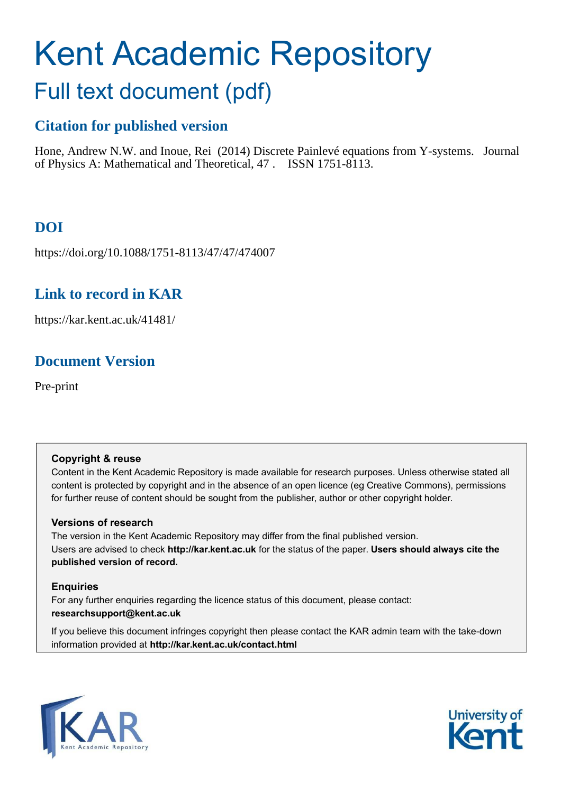# Kent Academic Repository

## Full text document (pdf)

## **Citation for published version**

Hone, Andrew N.W. and Inoue, Rei (2014) Discrete Painlevé equations from Y-systems. Journal of Physics A: Mathematical and Theoretical, 47 . ISSN 1751-8113.

## **DOI**

https://doi.org/10.1088/1751-8113/47/47/474007

## **Link to record in KAR**

https://kar.kent.ac.uk/41481/

## **Document Version**

Pre-print

#### **Copyright & reuse**

Content in the Kent Academic Repository is made available for research purposes. Unless otherwise stated all content is protected by copyright and in the absence of an open licence (eg Creative Commons), permissions for further reuse of content should be sought from the publisher, author or other copyright holder.

#### **Versions of research**

The version in the Kent Academic Repository may differ from the final published version. Users are advised to check **http://kar.kent.ac.uk** for the status of the paper. **Users should always cite the published version of record.**

#### **Enquiries**

For any further enquiries regarding the licence status of this document, please contact: **researchsupport@kent.ac.uk**

If you believe this document infringes copyright then please contact the KAR admin team with the take-down information provided at **http://kar.kent.ac.uk/contact.html**



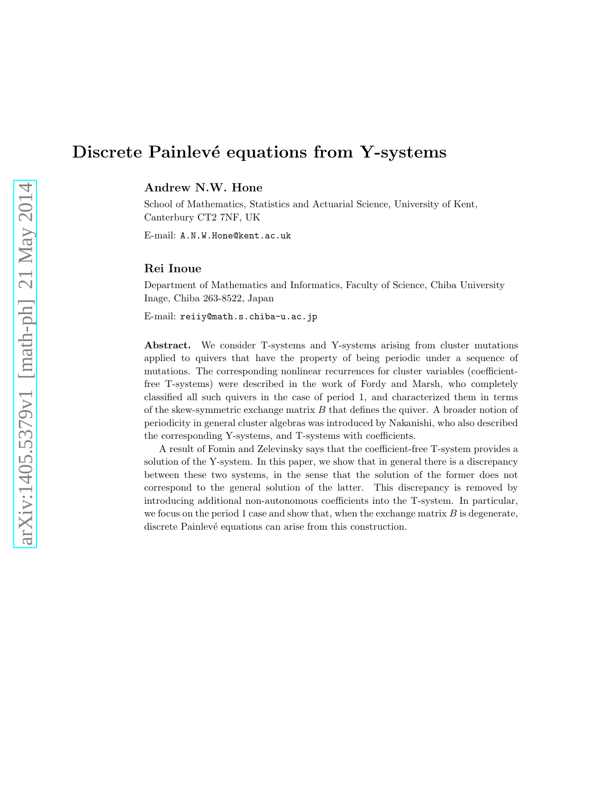### Discrete Painlevé equations from Y-systems

Andrew N.W. Hone

School of Mathematics, Statistics and Actuarial Science, University of Kent, Canterbury CT2 7NF, UK

<span id="page-1-1"></span>E-mail: A.N.W.Hone@kent.ac.uk

#### Rei Inoue

Department of Mathematics and Informatics, Faculty of Science, Chiba University Inage, Chiba 263-8522, Japan

<span id="page-1-0"></span>E-mail: reiiy@math.s.chiba-u.ac.jp

Abstract. We consider T-systems and Y-systems arising from cluster mutations applied to quivers that have the property of being periodic under a sequence of mutations. The corresponding nonlinear recurrences for cluster variables (coefficientfree T-systems) were described in the work of Fordy and Marsh, who completely classified all such quivers in the case of period 1, and characterized them in terms of the skew-symmetric exchange matrix  $B$  that defines the quiver. A broader notion of periodicity in general cluster algebras was introduced by Nakanishi, who also described the corresponding Y-systems, and T-systems with coefficients.

A result of Fomin and Zelevinsky says that the coefficient-free T-system provides a solution of the Y-system. In this paper, we show that in general there is a discrepancy between these two systems, in the sense that the solution of the former does not correspond to the general solution of the latter. This discrepancy is removed by introducing additional non-autonomous coefficients into the T-system. In particular, we focus on the period 1 case and show that, when the exchange matrix  $B$  is degenerate, discrete Painlevé equations can arise from this construction.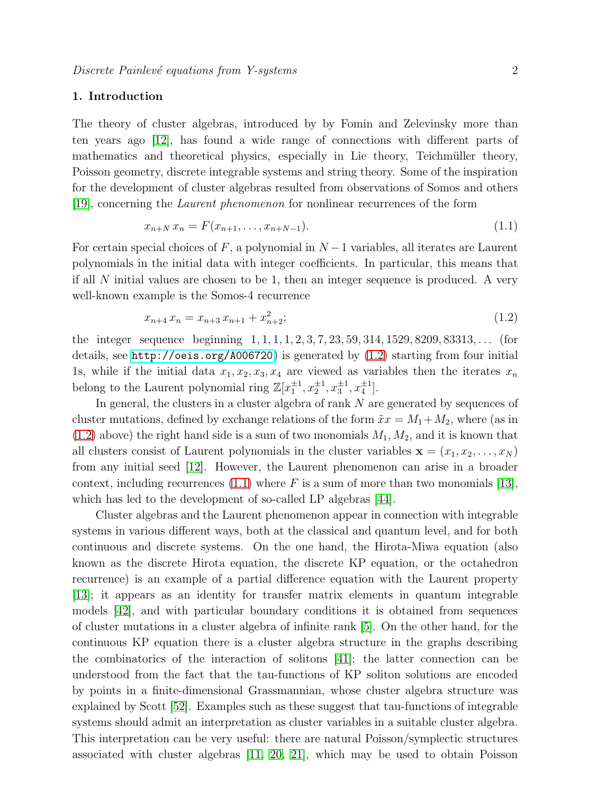#### 1. Introduction

The theory of cluster algebras, introduced by by Fomin and Zelevinsky more than ten years ago [\[12\]](#page-25-0), has found a wide range of connections with different parts of mathematics and theoretical physics, especially in Lie theory, Teichmüller theory, Poisson geometry, discrete integrable systems and string theory. Some of the inspiration for the development of cluster algebras resulted from observations of Somos and others [\[19\]](#page-25-1), concerning the Laurent phenomenon for nonlinear recurrences of the form

$$
x_{n+N} x_n = F(x_{n+1}, \dots, x_{n+N-1}). \tag{1.1}
$$

For certain special choices of F, a polynomial in  $N-1$  variables, all iterates are Laurent polynomials in the initial data with integer coefficients. In particular, this means that if all  $N$  initial values are chosen to be 1, then an integer sequence is produced. A very well-known example is the Somos-4 recurrence

$$
x_{n+4} \, x_n = x_{n+3} \, x_{n+1} + x_{n+2}^2; \tag{1.2}
$$

the integer sequence beginning  $1, 1, 1, 1, 2, 3, 7, 23, 59, 314, 1529, 8209, 83313, \ldots$  (for details, see <http://oeis.org/A006720>) is generated by [\(1.2\)](#page-1-0) starting from four initial 1s, while if the initial data  $x_1, x_2, x_3, x_4$  are viewed as variables then the iterates  $x_n$ belong to the Laurent polynomial ring  $\mathbb{Z}[x_1^{\pm 1}, x_2^{\pm 1}, x_3^{\pm 1}, x_4^{\pm 1}]$ .

In general, the clusters in a cluster algebra of rank N are generated by sequences of cluster mutations, defined by exchange relations of the form  $\tilde{x}x = M_1 + M_2$ , where (as in  $(1.2)$  above) the right hand side is a sum of two monomials  $M_1, M_2$ , and it is known that all clusters consist of Laurent polynomials in the cluster variables  $\mathbf{x} = (x_1, x_2, \dots, x_N)$ from any initial seed [\[12\]](#page-25-0). However, the Laurent phenomenon can arise in a broader context, including recurrences [\(1.1\)](#page-1-1) where F is a sum of more than two monomials [\[13\]](#page-25-2), which has led to the development of so-called LP algebras [\[44\]](#page-25-3).

<span id="page-2-2"></span><span id="page-2-1"></span><span id="page-2-0"></span>Cluster algebras and the Laurent phenomenon appear in connection with integrable systems in various different ways, both at the classical and quantum level, and for both continuous and discrete systems. On the one hand, the Hirota-Miwa equation (also known as the discrete Hirota equation, the discrete KP equation, or the octahedron recurrence) is an example of a partial difference equation with the Laurent property [\[13\]](#page-25-2); it appears as an identity for transfer matrix elements in quantum integrable models [\[42\]](#page-25-4), and with particular boundary conditions it is obtained from sequences of cluster mutations in a cluster algebra of infinite rank [\[5\]](#page-24-0). On the other hand, for the continuous KP equation there is a cluster algebra structure in the graphs describing the combinatorics of the interaction of solitons [\[41\]](#page-25-5); the latter connection can be understood from the fact that the tau-functions of KP soliton solutions are encoded by points in a finite-dimensional Grassmannian, whose cluster algebra structure was explained by Scott [\[52\]](#page-25-6). Examples such as these suggest that tau-functions of integrable systems should admit an interpretation as cluster variables in a suitable cluster algebra. This interpretation can be very useful: there are natural Poisson/symplectic structures associated with cluster algebras [\[11,](#page-24-1) [20,](#page-25-7) [21\]](#page-25-8), which may be used to obtain Poisson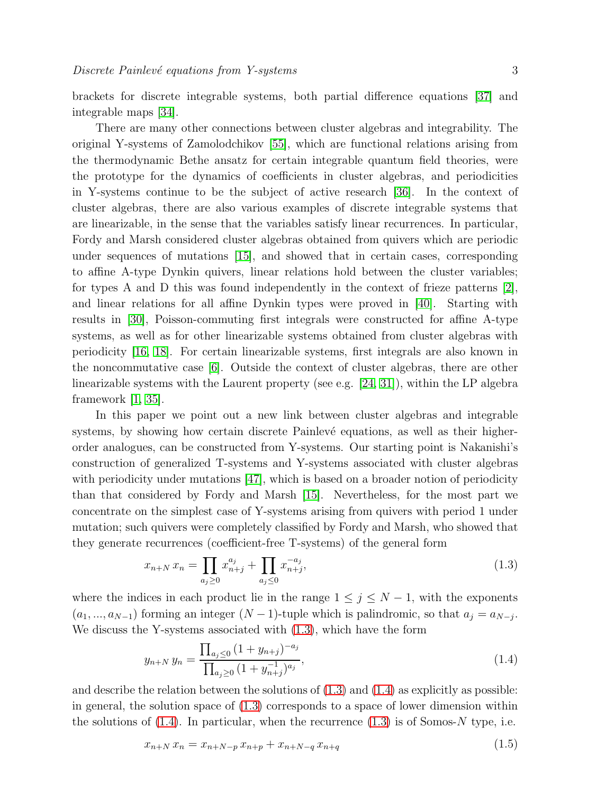brackets for discrete integrable systems, both partial difference equations [\[37\]](#page-25-9) and integrable maps [\[34\]](#page-25-10).

There are many other connections between cluster algebras and integrability. The original Y-systems of Zamolodchikov [\[55\]](#page-25-11), which are functional relations arising from the thermodynamic Bethe ansatz for certain integrable quantum field theories, were the prototype for the dynamics of coefficients in cluster algebras, and periodicities in Y-systems continue to be the subject of active research [\[36\]](#page-25-12). In the context of cluster algebras, there are also various examples of discrete integrable systems that are linearizable, in the sense that the variables satisfy linear recurrences. In particular, Fordy and Marsh considered cluster algebras obtained from quivers which are periodic under sequences of mutations [\[15\]](#page-25-13), and showed that in certain cases, corresponding to affine A-type Dynkin quivers, linear relations hold between the cluster variables; for types A and D this was found independently in the context of frieze patterns  $[2]$ , and linear relations for all affine Dynkin types were proved in [\[40\]](#page-25-14). Starting with results in [\[30\]](#page-25-15), Poisson-commuting first integrals were constructed for affine A-type systems, as well as for other linearizable systems obtained from cluster algebras with periodicity [\[16,](#page-25-16) [18\]](#page-25-17). For certain linearizable systems, first integrals are also known in the noncommutative case [\[6\]](#page-24-3). Outside the context of cluster algebras, there are other linearizable systems with the Laurent property (see e.g. [\[24,](#page-25-18) [31\]](#page-25-19)), within the LP algebra framework  $|1, 35|$ .

In this paper we point out a new link between cluster algebras and integrable systems, by showing how certain discrete Painlevé equations, as well as their higherorder analogues, can be constructed from Y-systems. Our starting point is Nakanishi's construction of generalized T-systems and Y-systems associated with cluster algebras with periodicity under mutations [\[47\]](#page-25-21), which is based on a broader notion of periodicity than that considered by Fordy and Marsh [\[15\]](#page-25-13). Nevertheless, for the most part we concentrate on the simplest case of Y-systems arising from quivers with period 1 under mutation; such quivers were completely classified by Fordy and Marsh, who showed that they generate recurrences (coefficient-free T-systems) of the general form

$$
x_{n+N} x_n = \prod_{a_j \ge 0} x_{n+j}^{a_j} + \prod_{a_j \le 0} x_{n+j}^{-a_j},
$$
\n(1.3)

where the indices in each product lie in the range  $1 \leq j \leq N-1$ , with the exponents  $(a_1, ..., a_{N-1})$  forming an integer  $(N-1)$ -tuple which is palindromic, so that  $a_j = a_{N-j}$ . We discuss the Y-systems associated with [\(1.3\)](#page-2-0), which have the form

$$
y_{n+N} y_n = \frac{\prod_{a_j \le 0} (1 + y_{n+j})^{-a_j}}{\prod_{a_j \ge 0} (1 + y_{n+j}^{-1})^{a_j}},
$$
\n(1.4)

and describe the relation between the solutions of  $(1.3)$  and  $(1.4)$  as explicitly as possible: in general, the solution space of  $(1.3)$  corresponds to a space of lower dimension within the solutions of  $(1.4)$ . In particular, when the recurrence  $(1.3)$  is of Somos-N type, i.e.

<span id="page-3-0"></span>
$$
x_{n+N} x_n = x_{n+N-p} x_{n+p} + x_{n+N-q} x_{n+q}
$$
\n
$$
(1.5)
$$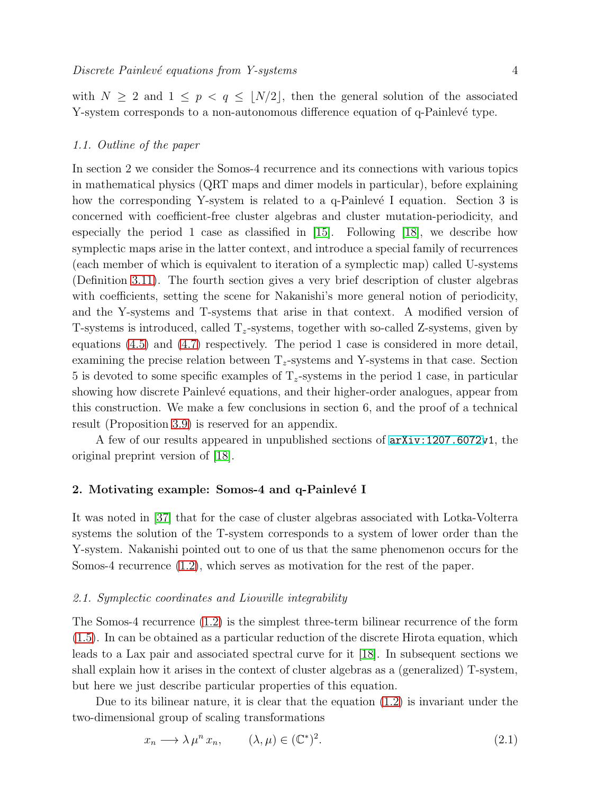with  $N \geq 2$  and  $1 \leq p \leq q \leq \lfloor N/2 \rfloor$ , then the general solution of the associated

#### <span id="page-4-0"></span>1.1. Outline of the paper

<span id="page-4-1"></span>In section 2 we consider the Somos-4 recurrence and its connections with various topics in mathematical physics (QRT maps and dimer models in particular), before explaining how the corresponding Y-system is related to a q-Painlevé I equation. Section 3 is concerned with coefficient-free cluster algebras and cluster mutation-periodicity, and especially the period 1 case as classified in [\[15\]](#page-25-13). Following [\[18\]](#page-25-17), we describe how symplectic maps arise in the latter context, and introduce a special family of recurrences (each member of which is equivalent to iteration of a symplectic map) called U-systems (Definition [3.11\)](#page-13-0). The fourth section gives a very brief description of cluster algebras with coefficients, setting the scene for Nakanishi's more general notion of periodicity, and the Y-systems and T-systems that arise in that context. A modified version of T-systems is introduced, called  $T_z$ -systems, together with so-called Z-systems, given by equations [\(4.5\)](#page-15-0) and [\(4.7\)](#page-15-1) respectively. The period 1 case is considered in more detail, examining the precise relation between  $T_z$ -systems and Y-systems in that case. Section 5 is devoted to some specific examples of  $T_z$ -systems in the period 1 case, in particular showing how discrete Painlevé equations, and their higher-order analogues, appear from this construction. We make a few conclusions in section 6, and the proof of a technical result (Proposition [3.9\)](#page-12-0) is reserved for an appendix.

Y-system corresponds to a non-autonomous difference equation of q-Painlevé type.

A few of our results appeared in unpublished sections of [arXiv:1207.6072v](http://arxiv.org/abs/1207.6072)1, the original preprint version of [\[18\]](#page-25-17).

#### <span id="page-4-4"></span>2. Motivating example: Somos-4 and q-Painlevé I

<span id="page-4-3"></span>It was noted in [\[37\]](#page-25-9) that for the case of cluster algebras associated with Lotka-Volterra systems the solution of the T-system corresponds to a system of lower order than the Y-system. Nakanishi pointed out to one of us that the same phenomenon occurs for the Somos-4 recurrence [\(1.2\)](#page-1-0), which serves as motivation for the rest of the paper.

#### 2.1. Symplectic coordinates and Liouville integrability

<span id="page-4-2"></span>The Somos-4 recurrence [\(1.2\)](#page-1-0) is the simplest three-term bilinear recurrence of the form [\(1.5\)](#page-2-2). In can be obtained as a particular reduction of the discrete Hirota equation, which leads to a Lax pair and associated spectral curve for it [\[18\]](#page-25-17). In subsequent sections we shall explain how it arises in the context of cluster algebras as a (generalized) T-system, but here we just describe particular properties of this equation.

Due to its bilinear nature, it is clear that the equation  $(1.2)$  is invariant under the two-dimensional group of scaling transformations

$$
x_n \longrightarrow \lambda \mu^n x_n, \qquad (\lambda, \mu) \in (\mathbb{C}^*)^2. \tag{2.1}
$$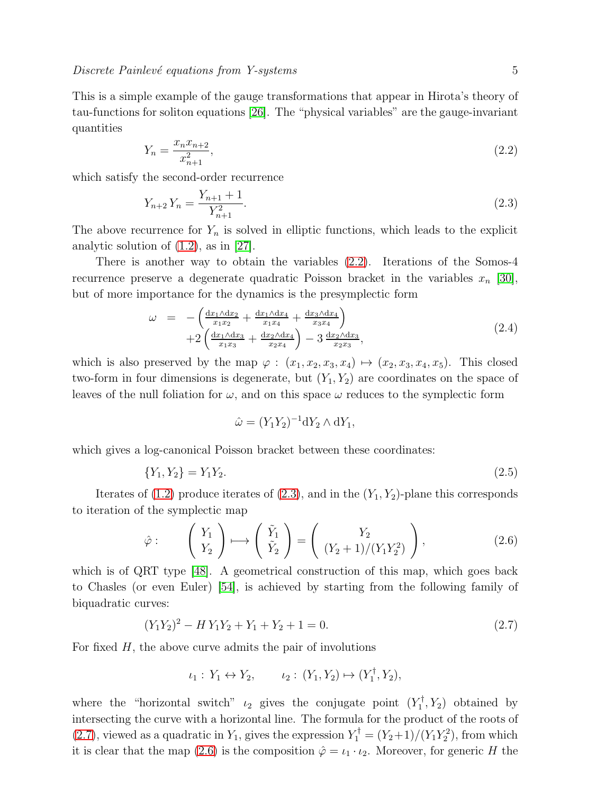This is a simple example of the gauge transformations that appear in Hirota's theory of tau-functions for soliton equations [\[26\]](#page-25-22). The "physical variables" are the gauge-invariant quantities

$$
Y_n = \frac{x_n x_{n+2}}{x_{n+1}^2},\tag{2.2}
$$

<span id="page-5-1"></span>which satisfy the second-order recurrence

$$
Y_{n+2}Y_n = \frac{Y_{n+1} + 1}{Y_{n+1}^2}.\tag{2.3}
$$

The above recurrence for  $Y_n$  is solved in elliptic functions, which leads to the explicit analytic solution of  $(1.2)$ , as in  $[27]$ .

There is another way to obtain the variables [\(2.2\)](#page-4-0). Iterations of the Somos-4 recurrence preserve a degenerate quadratic Poisson bracket in the variables  $x_n$  [\[30\]](#page-25-15), but of more importance for the dynamics is the presymplectic form

$$
\omega = -\left(\frac{dx_1 \Delta dx_2}{x_1 x_2} + \frac{dx_1 \Delta dx_4}{x_1 x_4} + \frac{dx_3 \Delta dx_4}{x_3 x_4}\right) + 2\left(\frac{dx_1 \Delta dx_3}{x_1 x_3} + \frac{dx_2 \Delta dx_4}{x_2 x_4}\right) - 3\frac{dx_2 \Delta dx_3}{x_2 x_3},
$$
\n(2.4)

which is also preserved by the map  $\varphi : (x_1, x_2, x_3, x_4) \mapsto (x_2, x_3, x_4, x_5)$ . This closed two-form in four dimensions is degenerate, but  $(Y_1, Y_2)$  are coordinates on the space of leaves of the null foliation for  $\omega$ , and on this space  $\omega$  reduces to the symplectic form

$$
\hat{\omega} = (Y_1 Y_2)^{-1} dY_2 \wedge dY_1,
$$

which gives a log-canonical Poisson bracket between these coordinates:

$$
\{Y_1, Y_2\} = Y_1 Y_2. \tag{2.5}
$$

Iterates of  $(1.2)$  produce iterates of  $(2.3)$ , and in the  $(Y_1, Y_2)$ -plane this corresponds to iteration of the symplectic map

$$
\hat{\varphi} : \qquad \begin{pmatrix} Y_1 \\ Y_2 \end{pmatrix} \longmapsto \begin{pmatrix} \tilde{Y}_1 \\ \tilde{Y}_2 \end{pmatrix} = \begin{pmatrix} Y_2 \\ (Y_2 + 1)/(Y_1 Y_2^2) \end{pmatrix}, \tag{2.6}
$$

which is of QRT type [\[48\]](#page-25-24). A geometrical construction of this map, which goes back to Chasles (or even Euler) [\[54\]](#page-25-25), is achieved by starting from the following family of biquadratic curves:

$$
(Y_1 Y_2)^2 - H Y_1 Y_2 + Y_1 + Y_2 + 1 = 0.
$$
\n(2.7)

For fixed  $H$ , the above curve admits the pair of involutions

$$
\iota_1: Y_1 \leftrightarrow Y_2, \qquad \iota_2: (Y_1, Y_2) \mapsto (Y_1^{\dagger}, Y_2),
$$

<span id="page-5-0"></span>where the "horizontal switch"  $\iota_2$  gives the conjugate point  $(Y_1^{\dagger})$  $Y_1^{\dagger}, Y_2$  obtained by intersecting the curve with a horizontal line. The formula for the product of the roots of [\(2.7\)](#page-4-2), viewed as a quadratic in  $Y_1$ , gives the expression  $Y_1^{\dagger} = (Y_2 + 1)/(Y_1 Y_2^2)$ , from which it is clear that the map [\(2.6\)](#page-4-3) is the composition  $\hat{\varphi} = \iota_1 \cdot \iota_2$ . Moreover, for generic H the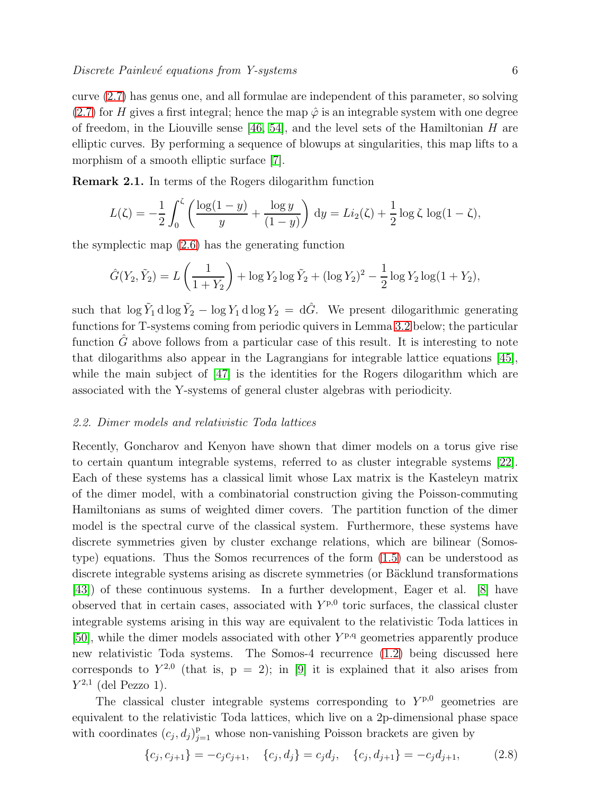<span id="page-6-0"></span>curve [\(2.7\)](#page-4-2) has genus one, and all formulae are independent of this parameter, so solving [\(2.7\)](#page-4-2) for H gives a first integral; hence the map  $\hat{\varphi}$  is an integrable system with one degree of freedom, in the Liouville sense [\[46,](#page-25-26) [54\]](#page-25-25), and the level sets of the Hamiltonian H are elliptic curves. By performing a sequence of blowups at singularities, this map lifts to a morphism of a smooth elliptic surface [\[7\]](#page-24-5).

Remark 2.1. In terms of the Rogers dilogarithm function

<span id="page-6-1"></span>
$$
L(\zeta) = -\frac{1}{2} \int_0^{\zeta} \left( \frac{\log(1-y)}{y} + \frac{\log y}{(1-y)} \right) dy = Li_2(\zeta) + \frac{1}{2} \log \zeta \log(1-\zeta),
$$

the symplectic map [\(2.6\)](#page-4-3) has the generating function

$$
\hat{G}(Y_2, \tilde{Y}_2) = L\left(\frac{1}{1+Y_2}\right) + \log Y_2 \log \tilde{Y}_2 + (\log Y_2)^2 - \frac{1}{2}\log Y_2 \log(1+Y_2),
$$

<span id="page-6-2"></span>such that  $\log \tilde{Y}_1 d \log \tilde{Y}_2 - \log Y_1 d \log Y_2 = d\hat{G}$ . We present dilogarithmic generating functions for T-systems coming from periodic quivers in Lemma [3.2](#page-11-0) below; the particular function  $\hat{G}$  above follows from a particular case of this result. It is interesting to note that dilogarithms also appear in the Lagrangians for integrable lattice equations [\[45\]](#page-25-27), while the main subject of  $[47]$  is the identities for the Rogers dilogarithm which are associated with the Y-systems of general cluster algebras with periodicity.

#### 2.2. Dimer models and relativistic Toda lattices

Recently, Goncharov and Kenyon have shown that dimer models on a torus give rise to certain quantum integrable systems, referred to as cluster integrable systems [\[22\]](#page-25-28). Each of these systems has a classical limit whose Lax matrix is the Kasteleyn matrix of the dimer model, with a combinatorial construction giving the Poisson-commuting Hamiltonians as sums of weighted dimer covers. The partition function of the dimer model is the spectral curve of the classical system. Furthermore, these systems have discrete symmetries given by cluster exchange relations, which are bilinear (Somostype) equations. Thus the Somos recurrences of the form [\(1.5\)](#page-2-2) can be understood as discrete integrable systems arising as discrete symmetries (or Bäcklund transformations [\[43\]](#page-25-29)) of these continuous systems. In a further development, Eager et al. [\[8\]](#page-24-6) have observed that in certain cases, associated with  $Y^{p,0}$  toric surfaces, the classical cluster integrable systems arising in this way are equivalent to the relativistic Toda lattices in [\[50\]](#page-25-30), while the dimer models associated with other  $Y^{p,q}$  geometries apparently produce new relativistic Toda systems. The Somos-4 recurrence [\(1.2\)](#page-1-0) being discussed here corresponds to  $Y^{2,0}$  (that is,  $p = 2$ ); in [\[9\]](#page-24-7) it is explained that it also arises from  $Y^{2,1}$  (del Pezzo 1).

<span id="page-6-3"></span>The classical cluster integrable systems corresponding to  $Y^{p,0}$  geometries are equivalent to the relativistic Toda lattices, which live on a 2p-dimensional phase space with coordinates  $(c_j, d_j)_{j=1}^p$  whose non-vanishing Poisson brackets are given by

$$
\{c_j, c_{j+1}\} = -c_j c_{j+1}, \quad \{c_j, d_j\} = c_j d_j, \quad \{c_j, d_{j+1}\} = -c_j d_{j+1}, \tag{2.8}
$$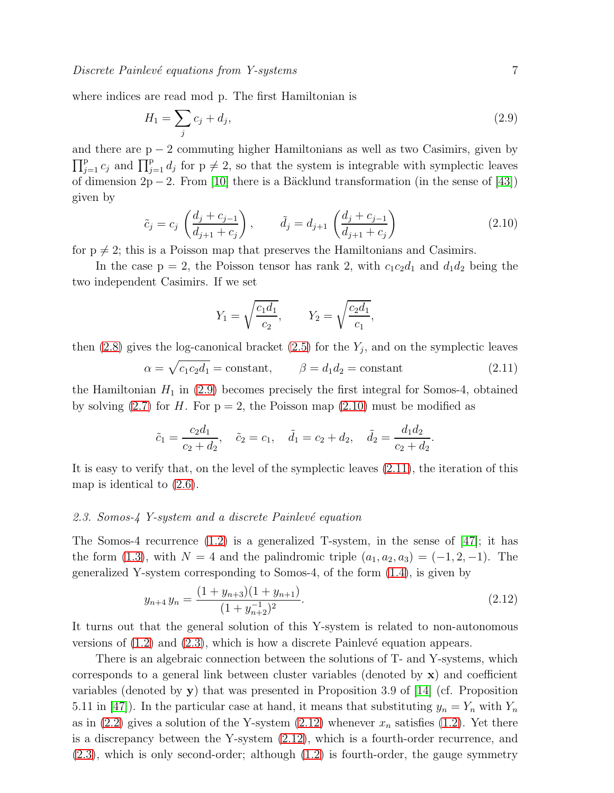where indices are read mod p. The first Hamiltonian is

$$
H_1 = \sum_j c_j + d_j,\tag{2.9}
$$

and there are  $p - 2$  commuting higher Hamiltonians as well as two Casimirs, given by  $\prod_{j=1}^p c_j$  and  $\prod_{j=1}^p d_j$  for  $p \neq 2$ , so that the system is integrable with symplectic leaves of dimension  $2p - 2$ . From [\[10\]](#page-24-8) there is a Bäcklund transformation (in the sense of [\[43\]](#page-25-29)) given by

<span id="page-7-2"></span>
$$
\tilde{c}_j = c_j \left( \frac{d_j + c_{j-1}}{d_{j+1} + c_j} \right), \qquad \tilde{d}_j = d_{j+1} \left( \frac{d_j + c_{j-1}}{d_{j+1} + c_j} \right)
$$
\n(2.10)

for  $p \neq 2$ ; this is a Poisson map that preserves the Hamiltonians and Casimirs.

In the case  $p = 2$ , the Poisson tensor has rank 2, with  $c_1c_2d_1$  and  $d_1d_2$  being the two independent Casimirs. If we set

$$
Y_1 = \sqrt{\frac{c_1 d_1}{c_2}}, \qquad Y_2 = \sqrt{\frac{c_2 d_1}{c_1}},
$$

then  $(2.8)$  gives the log-canonical bracket  $(2.5)$  for the  $Y_j$ , and on the symplectic leaves

$$
\alpha = \sqrt{c_1 c_2 d_1} = \text{constant}, \qquad \beta = d_1 d_2 = \text{constant}
$$
\n(2.11)

the Hamiltonian  $H_1$  in [\(2.9\)](#page-6-0) becomes precisely the first integral for Somos-4, obtained by solving  $(2.7)$  for H. For  $p = 2$ , the Poisson map  $(2.10)$  must be modified as

<span id="page-7-0"></span>
$$
\tilde{c}_1 = \frac{c_2 d_1}{c_2 + d_2}, \quad \tilde{c}_2 = c_1, \quad \tilde{d}_1 = c_2 + d_2, \quad \tilde{d}_2 = \frac{d_1 d_2}{c_2 + d_2}.
$$

It is easy to verify that, on the level of the symplectic leaves [\(2.11\)](#page-6-2), the iteration of this map is identical to [\(2.6\)](#page-4-3).

#### 2.3. Somos- $\frac{1}{4}$  Y-system and a discrete Painlevé equation

The Somos-4 recurrence  $(1.2)$  is a generalized T-system, in the sense of [\[47\]](#page-25-21); it has the form [\(1.3\)](#page-2-0), with  $N = 4$  and the palindromic triple  $(a_1, a_2, a_3) = (-1, 2, -1)$ . The generalized Y-system corresponding to Somos-4, of the form [\(1.4\)](#page-2-1), is given by

<span id="page-7-1"></span>
$$
y_{n+4} y_n = \frac{(1+y_{n+3})(1+y_{n+1})}{(1+y_{n+2}^{-1})^2}.
$$
\n(2.12)

It turns out that the general solution of this Y-system is related to non-autonomous versions of  $(1.2)$  and  $(2.3)$ , which is how a discrete Painlevé equation appears.

There is an algebraic connection between the solutions of T- and Y-systems, which corresponds to a general link between cluster variables (denoted by  $\mathbf{x}$ ) and coefficient variables (denoted by  $y$ ) that was presented in Proposition 3.9 of [\[14\]](#page-25-31) (cf. Proposition 5.11 in [\[47\]](#page-25-21)). In the particular case at hand, it means that substituting  $y_n = Y_n$  with  $Y_n$ as in [\(2.2\)](#page-4-0) gives a solution of the Y-system [\(2.12\)](#page-6-3) whenever  $x_n$  satisfies [\(1.2\)](#page-1-0). Yet there is a discrepancy between the Y-system [\(2.12\)](#page-6-3), which is a fourth-order recurrence, and [\(2.3\)](#page-4-1), which is only second-order; although [\(1.2\)](#page-1-0) is fourth-order, the gauge symmetry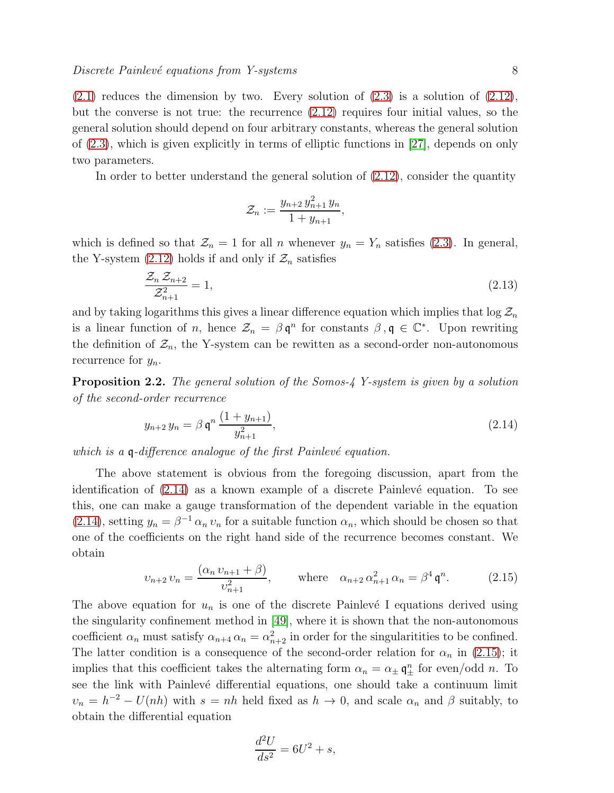$(2.1)$  reduces the dimension by two. Every solution of  $(2.3)$  is a solution of  $(2.12)$ , but the converse is not true: the recurrence [\(2.12\)](#page-6-3) requires four initial values, so the general solution should depend on four arbitrary constants, whereas the general solution of [\(2.3\)](#page-4-1), which is given explicitly in terms of elliptic functions in [\[27\]](#page-25-23), depends on only two parameters.

In order to better understand the general solution of  $(2.12)$ , consider the quantity

$$
\mathcal{Z}_n := \frac{y_{n+2} y_{n+1}^2 y_n}{1 + y_{n+1}},
$$

which is defined so that  $\mathcal{Z}_n = 1$  for all n whenever  $y_n = Y_n$  satisfies [\(2.3\)](#page-4-1). In general, the Y-system  $(2.12)$  holds if and only if  $\mathcal{Z}_n$  satisfies

<span id="page-8-0"></span>
$$
\frac{\mathcal{Z}_n \mathcal{Z}_{n+2}}{\mathcal{Z}_{n+1}^2} = 1,\tag{2.13}
$$

and by taking logarithms this gives a linear difference equation which implies that  $\log \mathcal{Z}_n$ is a linear function of n, hence  $\mathcal{Z}_n = \beta \mathfrak{q}^n$  for constants  $\beta, \mathfrak{q} \in \mathbb{C}^*$ . Upon rewriting the definition of  $\mathcal{Z}_n$ , the Y-system can be rewitten as a second-order non-autonomous recurrence for  $y_n$ .

Proposition 2.2. The general solution of the Somos-4 Y-system is given by a solution of the second-order recurrence

$$
y_{n+2} y_n = \beta \mathfrak{q}^n \frac{(1 + y_{n+1})}{y_{n+1}^2},\tag{2.14}
$$

which is a  $\mathfrak q$ -difference analogue of the first Painlevé equation.

The above statement is obvious from the foregoing discussion, apart from the identification of  $(2.14)$  as a known example of a discrete Painlevé equation. To see this, one can make a gauge transformation of the dependent variable in the equation [\(2.14\)](#page-7-0), setting  $y_n = \beta^{-1} \alpha_n v_n$  for a suitable function  $\alpha_n$ , which should be chosen so that one of the coefficients on the right hand side of the recurrence becomes constant. We obtain

$$
v_{n+2}v_n = \frac{(\alpha_n v_{n+1} + \beta)}{v_{n+1}^2}, \qquad \text{where} \quad \alpha_{n+2} \alpha_{n+1}^2 \alpha_n = \beta^4 \mathfrak{q}^n. \tag{2.15}
$$

The above equation for  $u_n$  is one of the discrete Painlevé I equations derived using the singularity confinement method in [\[49\]](#page-25-32), where it is shown that the non-autonomous coefficient  $\alpha_n$  must satisfy  $\alpha_{n+4} \alpha_n = \alpha_{n+2}^2$  in order for the singularitities to be confined. The latter condition is a consequence of the second-order relation for  $\alpha_n$  in [\(2.15\)](#page-7-1); it implies that this coefficient takes the alternating form  $\alpha_n = \alpha_{\pm} \, \mathfrak{q}^n_{\pm}$  for even/odd n. To see the link with Painlevé differential equations, one should take a continuum limit  $\nu_n = h^{-2} - U(nh)$  with  $s = nh$  held fixed as  $h \to 0$ , and scale  $\alpha_n$  and  $\beta$  suitably, to obtain the differential equation

<span id="page-8-1"></span>
$$
\frac{d^2U}{ds^2} = 6U^2 + s,
$$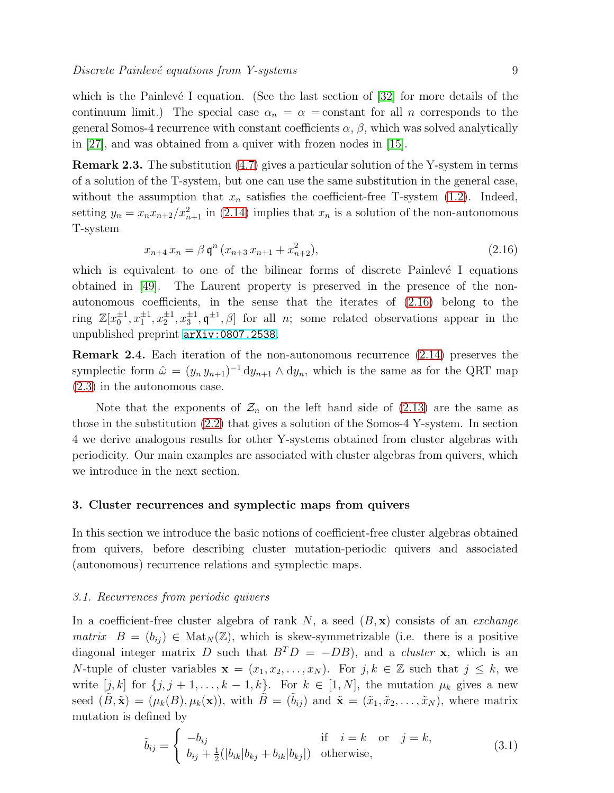<span id="page-9-0"></span>which is the Painlevé I equation. (See the last section of  $[32]$  for more details of the continuum limit.) The special case  $\alpha_n = \alpha$  = constant for all n corresponds to the general Somos-4 recurrence with constant coefficients  $\alpha$ ,  $\beta$ , which was solved analytically in [\[27\]](#page-25-23), and was obtained from a quiver with frozen nodes in [\[15\]](#page-25-13).

Remark 2.3. The substitution [\(4.7\)](#page-16-0) gives a particular solution of the Y-system in terms of a solution of the T-system, but one can use the same substitution in the general case, without the assumption that  $x_n$  satisfies the coefficient-free T-system [\(1.2\)](#page-1-0). Indeed, setting  $y_n = x_n x_{n+2}/x_{n+1}^2$  in [\(2.14\)](#page-7-0) implies that  $x_n$  is a solution of the non-autonomous T-system

$$
x_{n+4} x_n = \beta \mathfrak{q}^n (x_{n+3} x_{n+1} + x_{n+2}^2), \tag{2.16}
$$

which is equivalent to one of the bilinear forms of discrete Painlevé I equations obtained in [\[49\]](#page-25-32). The Laurent property is preserved in the presence of the nonautonomous coefficients, in the sense that the iterates of [\(2.16\)](#page-8-0) belong to the ring  $\mathbb{Z}[x_0^{\pm 1}, x_1^{\pm 1}, x_2^{\pm 1}, x_3^{\pm 1}, \phi]$  for all *n*; some related observations appear in the unpublished preprint [arXiv:0807.2538](http://arxiv.org/abs/0807.2538).

Remark 2.4. Each iteration of the non-autonomous recurrence [\(2.14\)](#page-7-0) preserves the symplectic form  $\hat{\omega} = (y_n y_{n+1})^{-1} dy_{n+1} \wedge dy_n$ , which is the same as for the QRT map [\(2.3\)](#page-4-1) in the autonomous case.

Note that the exponents of  $\mathcal{Z}_n$  on the left hand side of [\(2.13\)](#page-7-2) are the same as those in the substitution [\(2.2\)](#page-4-0) that gives a solution of the Somos-4 Y-system. In section 4 we derive analogous results for other Y-systems obtained from cluster algebras with periodicity. Our main examples are associated with cluster algebras from quivers, which we introduce in the next section.

#### 3. Cluster recurrences and symplectic maps from quivers

In this section we introduce the basic notions of coefficient-free cluster algebras obtained from quivers, before describing cluster mutation-periodic quivers and associated (autonomous) recurrence relations and symplectic maps.

#### 3.1. Recurrences from periodic quivers

<span id="page-9-2"></span>In a coefficient-free cluster algebra of rank N, a seed  $(B, x)$  consists of an *exchange* matrix  $B = (b_{ij}) \in Mat_N(\mathbb{Z})$ , which is skew-symmetrizable (i.e. there is a positive diagonal integer matrix D such that  $B<sup>T</sup>D = -DB$ , and a *cluster* **x**, which is an N-tuple of cluster variables  $\mathbf{x} = (x_1, x_2, \dots, x_N)$ . For  $j, k \in \mathbb{Z}$  such that  $j \leq k$ , we write  $[j, k]$  for  $\{j, j + 1, \ldots, k - 1, k\}$ . For  $k \in [1, N]$ , the mutation  $\mu_k$  gives a new seed  $(B, \tilde{\mathbf{x}}) = (\mu_k(B), \mu_k(\mathbf{x}))$ , with  $B = (b_{ij})$  and  $\tilde{\mathbf{x}} = (\tilde{x}_1, \tilde{x}_2, \dots, \tilde{x}_N)$ , where matrix mutation is defined by

<span id="page-9-1"></span>
$$
\tilde{b}_{ij} = \begin{cases}\n-b_{ij} & \text{if } i = k \text{ or } j = k, \\
b_{ij} + \frac{1}{2}(|b_{ik}|b_{kj} + b_{ik}|b_{kj}|) & \text{otherwise,} \n\end{cases}
$$
\n(3.1)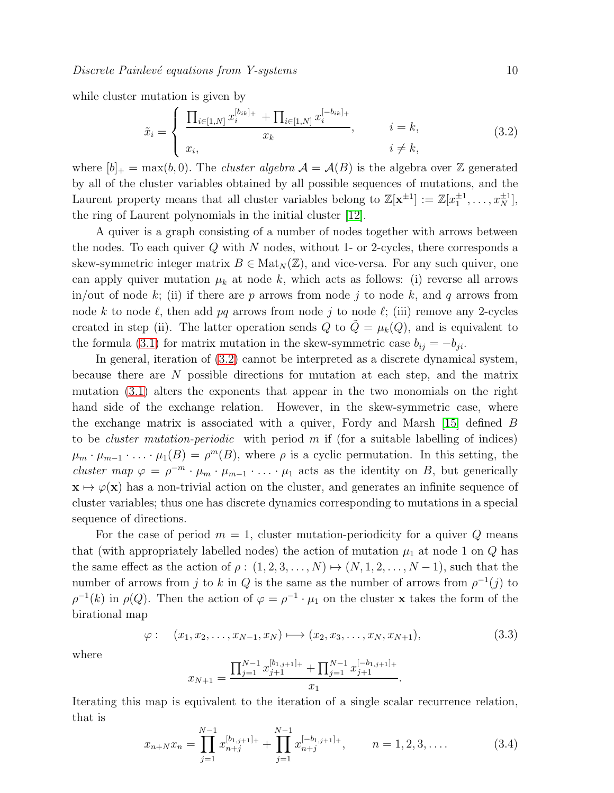<span id="page-10-4"></span>while cluster mutation is given by

<span id="page-10-3"></span>
$$
\tilde{x}_i = \begin{cases}\n\frac{\prod_{i \in [1,N]} x_i^{[b_{ik}]_+} + \prod_{i \in [1,N]} x_i^{[-b_{ik}]_+}}{x_k}, & i = k, \\
x_i, & i \neq k,\n\end{cases}
$$
\n(3.2)

where  $[b]_+ = \max(b, 0)$ . The *cluster algebra*  $\mathcal{A} = \mathcal{A}(B)$  is the algebra over Z generated by all of the cluster variables obtained by all possible sequences of mutations, and the Laurent property means that all cluster variables belong to  $\mathbb{Z}[\mathbf{x}^{\pm 1}] := \mathbb{Z}[x_1^{\pm 1}, \dots, x_N^{\pm 1}],$ the ring of Laurent polynomials in the initial cluster [\[12\]](#page-25-0).

<span id="page-10-1"></span>A quiver is a graph consisting of a number of nodes together with arrows between the nodes. To each quiver  $Q$  with  $N$  nodes, without 1- or 2-cycles, there corresponds a skew-symmetric integer matrix  $B \in Mat_N(\mathbb{Z})$ , and vice-versa. For any such quiver, one can apply quiver mutation  $\mu_k$  at node k, which acts as follows: (i) reverse all arrows in/out of node k; (ii) if there are p arrows from node j to node k, and q arrows from node k to node  $\ell$ , then add pq arrows from node j to node  $\ell$ ; (iii) remove any 2-cycles created in step (ii). The latter operation sends Q to  $\tilde{Q} = \mu_k(Q)$ , and is equivalent to the formula [\(3.1\)](#page-8-1) for matrix mutation in the skew-symmetric case  $b_{ij} = -b_{ji}$ .

<span id="page-10-2"></span>In general, iteration of [\(3.2\)](#page-9-0) cannot be interpreted as a discrete dynamical system, because there are N possible directions for mutation at each step, and the matrix mutation [\(3.1\)](#page-8-1) alters the exponents that appear in the two monomials on the right hand side of the exchange relation. However, in the skew-symmetric case, where the exchange matrix is associated with a quiver, Fordy and Marsh [\[15\]](#page-25-13) defined B to be *cluster mutation-periodic* with period m if (for a suitable labelling of indices)  $\mu_m \cdot \mu_{m-1} \cdot \ldots \cdot \mu_1(B) = \rho^m(B)$ , where  $\rho$  is a cyclic permutation. In this setting, the cluster map  $\varphi = \rho^{-m} \cdot \mu_m \cdot \mu_{m-1} \cdot \ldots \cdot \mu_1$  acts as the identity on B, but generically  $x \mapsto \varphi(x)$  has a non-trivial action on the cluster, and generates an infinite sequence of cluster variables; thus one has discrete dynamics corresponding to mutations in a special sequence of directions.

<span id="page-10-0"></span>For the case of period  $m = 1$ , cluster mutation-periodicity for a quiver Q means that (with appropriately labelled nodes) the action of mutation  $\mu_1$  at node 1 on Q has the same effect as the action of  $\rho : (1, 2, 3, \ldots, N) \mapsto (N, 1, 2, \ldots, N - 1)$ , such that the number of arrows from j to k in Q is the same as the number of arrows from  $\rho^{-1}(j)$  to  $\rho^{-1}(k)$  in  $\rho(Q)$ . Then the action of  $\varphi = \rho^{-1} \cdot \mu_1$  on the cluster **x** takes the form of the birational map

$$
\varphi: \quad (x_1, x_2, \dots, x_{N-1}, x_N) \longmapsto (x_2, x_3, \dots, x_N, x_{N+1}), \tag{3.3}
$$

.

where

$$
x_{N+1} = \frac{\prod_{j=1}^{N-1} x_{j+1}^{[b_{1,j+1}]_+} + \prod_{j=1}^{N-1} x_{j+1}^{[-b_{1,j+1}]_+}}{x_1}
$$

Iterating this map is equivalent to the iteration of a single scalar recurrence relation, that is

$$
x_{n+N}x_n = \prod_{j=1}^{N-1} x_{n+j}^{[b_{1,j+1}]} + \prod_{j=1}^{N-1} x_{n+j}^{[-b_{1,j+1}]} + \qquad n = 1, 2, 3, .... \tag{3.4}
$$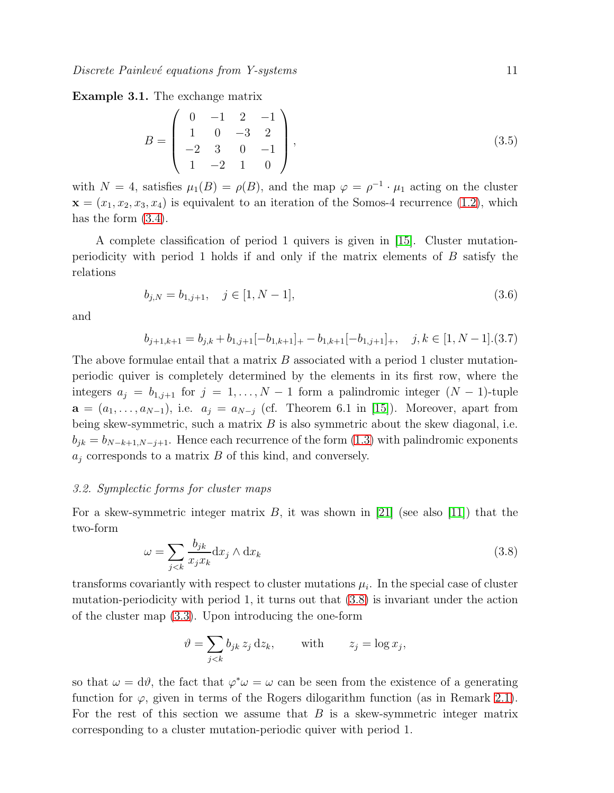<span id="page-11-0"></span>Example 3.1. The exchange matrix

$$
B = \begin{pmatrix} 0 & -1 & 2 & -1 \\ 1 & 0 & -3 & 2 \\ -2 & 3 & 0 & -1 \\ 1 & -2 & 1 & 0 \end{pmatrix},
$$
(3.5)

with  $N = 4$ , satisfies  $\mu_1(B) = \rho(B)$ , and the map  $\varphi = \rho^{-1} \cdot \mu_1$  acting on the cluster  $\mathbf{x} = (x_1, x_2, x_3, x_4)$  is equivalent to an iteration of the Somos-4 recurrence [\(1.2\)](#page-1-0), which has the form  $(3.4)$ .

A complete classification of period 1 quivers is given in [\[15\]](#page-25-13). Cluster mutationperiodicity with period 1 holds if and only if the matrix elements of B satisfy the relations

$$
b_{j,N} = b_{1,j+1}, \quad j \in [1, N-1], \tag{3.6}
$$

and

<span id="page-11-3"></span>
$$
b_{j+1,k+1} = b_{j,k} + b_{1,j+1}[-b_{1,k+1}] + b_{1,k+1}[-b_{1,j+1}]_+, \quad j,k \in [1, N-1].(3.7)
$$

The above formulae entail that a matrix  $B$  associated with a period 1 cluster mutationperiodic quiver is completely determined by the elements in its first row, where the integers  $a_j = b_{1,j+1}$  for  $j = 1, ..., N-1$  form a palindromic integer  $(N-1)$ -tuple  $\mathbf{a} = (a_1, \ldots, a_{N-1}),$  i.e.  $a_j = a_{N-j}$  (cf. Theorem 6.1 in [\[15\]](#page-25-13)). Moreover, apart from being skew-symmetric, such a matrix  $B$  is also symmetric about the skew diagonal, i.e.  $b_{jk} = b_{N-k+1,N-j+1}$ . Hence each recurrence of the form [\(1.3\)](#page-2-0) with palindromic exponents  $a_i$  corresponds to a matrix  $B$  of this kind, and conversely.

#### 3.2. Symplectic forms for cluster maps

For a skew-symmetric integer matrix  $B$ , it was shown in [\[21\]](#page-25-8) (see also [\[11\]](#page-24-1)) that the two-form

<span id="page-11-1"></span>
$$
\omega = \sum_{j < k} \frac{b_{jk}}{x_j x_k} \mathrm{d}x_j \wedge \mathrm{d}x_k \tag{3.8}
$$

transforms covariantly with respect to cluster mutations  $\mu_i$ . In the special case of cluster mutation-periodicity with period 1, it turns out that [\(3.8\)](#page-10-0) is invariant under the action of the cluster map [\(3.3\)](#page-9-2). Upon introducing the one-form

$$
\vartheta = \sum_{j < k} b_{jk} z_j \, \mathrm{d}z_k, \qquad \text{with} \qquad z_j = \log x_j,
$$

<span id="page-11-2"></span>so that  $\omega = d\theta$ , the fact that  $\varphi^* \omega = \omega$  can be seen from the existence of a generating function for  $\varphi$ , given in terms of the Rogers dilogarithm function (as in Remark [2.1\)](#page-5-1). For the rest of this section we assume that  $B$  is a skew-symmetric integer matrix corresponding to a cluster mutation-periodic quiver with period 1.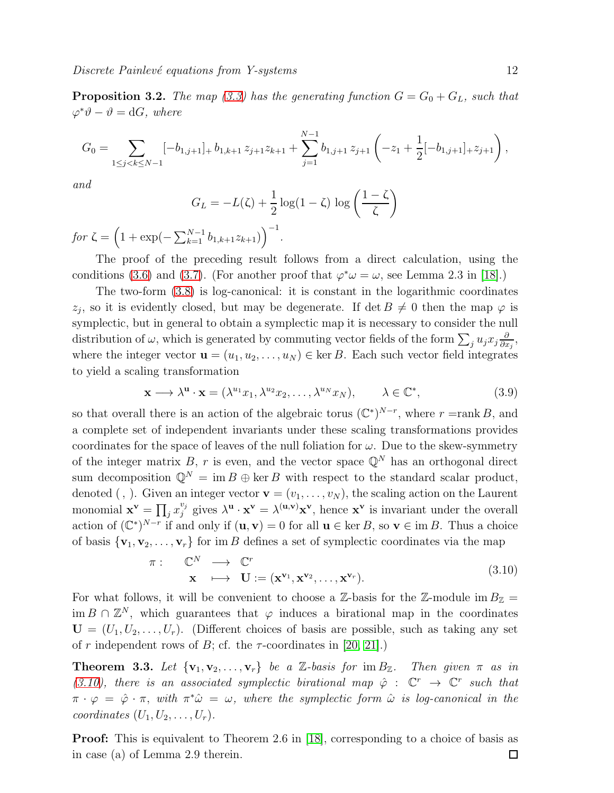**Proposition 3.2.** The map [\(3.3\)](#page-9-2) has the generating function  $G = G_0 + G_L$ , such that  $\varphi^* \vartheta - \vartheta = \mathrm{d}G$ , where

$$
G_0 = \sum_{1 \le j < k \le N-1} [-b_{1,j+1}]_+ b_{1,k+1} z_{j+1} z_{k+1} + \sum_{j=1}^{N-1} b_{1,j+1} z_{j+1} \left( -z_1 + \frac{1}{2} [-b_{1,j+1}]_+ z_{j+1} \right),
$$

and

$$
G_L = -L(\zeta) + \frac{1}{2}\log(1-\zeta)\,\log\left(\frac{1-\zeta}{\zeta}\right)
$$

for  $\zeta = \left(1 + \exp(-\sum_{k=1}^{N-1} b_{1,k+1} z_{k+1})\right)^{-1}$ .

<span id="page-12-3"></span>The proof of the preceding result follows from a direct calculation, using the conditions [\(3.6\)](#page-10-1) and [\(3.7\)](#page-10-2). (For another proof that  $\varphi^* \omega = \omega$ , see Lemma 2.3 in [\[18\]](#page-25-17).)

The two-form [\(3.8\)](#page-10-0) is log-canonical: it is constant in the logarithmic coordinates  $z_j$ , so it is evidently closed, but may be degenerate. If det  $B \neq 0$  then the map  $\varphi$  is symplectic, but in general to obtain a symplectic map it is necessary to consider the null distribution of  $\omega$ , which is generated by commuting vector fields of the form  $\sum_j u_j x_j \frac{\partial}{\partial x_j}$  $\frac{\partial}{\partial x_j}$ where the integer vector  $\mathbf{u} = (u_1, u_2, \dots, u_N) \in \text{ker } B$ . Each such vector field integrates to yield a scaling transformation

$$
\mathbf{x} \longrightarrow \lambda^{\mathbf{u}} \cdot \mathbf{x} = (\lambda^{u_1} x_1, \lambda^{u_2} x_2, \dots, \lambda^{u_N} x_N), \qquad \lambda \in \mathbb{C}^*,
$$
 (3.9)

so that overall there is an action of the algebraic torus  $(\mathbb{C}^*)^{N-r}$ , where  $r = \text{rank } B$ , and a complete set of independent invariants under these scaling transformations provides coordinates for the space of leaves of the null foliation for  $\omega$ . Due to the skew-symmetry of the integer matrix B, r is even, and the vector space  $\mathbb{Q}^N$  has an orthogonal direct sum decomposition  $\mathbb{Q}^N = \text{im } B \oplus \text{ker } B$  with respect to the standard scalar product, denoted (, ). Given an integer vector  $\mathbf{v} = (v_1, \ldots, v_N)$ , the scaling action on the Laurent monomial  $\mathbf{x}^{\mathbf{v}} = \prod_j x_j^{v_j}$  $y_j^{\nu_j}$  gives  $\lambda^{\mathbf{u}} \cdot \mathbf{x}^{\mathbf{v}} = \lambda^{(\mathbf{u}, \mathbf{v})} \mathbf{x}^{\mathbf{v}},$  hence  $\mathbf{x}^{\mathbf{v}}$  is invariant under the overall action of  $(\mathbb{C}^*)^{N-r}$  if and only if  $(\mathbf{u}, \mathbf{v}) = 0$  for all  $\mathbf{u} \in \text{ker } B$ , so  $\mathbf{v} \in \text{im } B$ . Thus a choice of basis  ${\bf v}_1, {\bf v}_2, \ldots, {\bf v}_r$  for im B defines a set of symplectic coordinates via the map

$$
\pi: \quad \mathbb{C}^N \quad \longrightarrow \quad \mathbb{C}^r
$$
\n
$$
\mathbf{x} \quad \longmapsto \quad \mathbf{U} := (\mathbf{x}^{\mathbf{v}_1}, \mathbf{x}^{\mathbf{v}_2}, \dots, \mathbf{x}^{\mathbf{v}_r}). \tag{3.10}
$$

<span id="page-12-0"></span>For what follows, it will be convenient to choose a Z-basis for the Z-module im  $B_{\mathbb{Z}} =$ im  $B \cap \mathbb{Z}^N$ , which guarantees that  $\varphi$  induces a birational map in the coordinates  $U = (U_1, U_2, \ldots, U_r)$ . (Different choices of basis are possible, such as taking any set of r independent rows of B; cf. the  $\tau$ -coordinates in [\[20,](#page-25-7) [21\]](#page-25-8).)

<span id="page-12-2"></span>**Theorem 3.3.** Let  $\{v_1, v_2, \ldots, v_r\}$  be a Z-basis for im  $B_{\mathbb{Z}}$ . Then given  $\pi$  as in [\(3.10\)](#page-11-1), there is an associated symplectic birational map  $\hat{\varphi}$  :  $\mathbb{C}^r \to \mathbb{C}^r$  such that  $\pi \cdot \varphi \; = \; \hat{\varphi} \cdot \pi, \; with \; \pi^* \hat{\omega} \; = \; \omega, \; where \; the \; symplectic \; form \; \hat{\omega} \; is \; log-canonical \; in \; the \; \; \tau$ coordinates  $(U_1, U_2, \ldots, U_r)$ .

<span id="page-12-1"></span>**Proof:** This is equivalent to Theorem 2.6 in [\[18\]](#page-25-17), corresponding to a choice of basis as in case (a) of Lemma 2.9 therein. $\Box$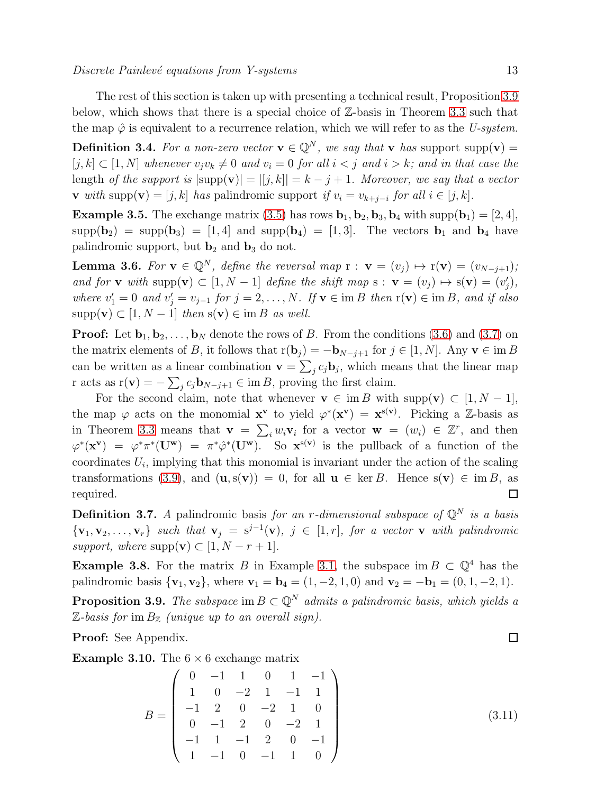<span id="page-13-0"></span>The rest of this section is taken up with presenting a technical result, Proposition [3.9](#page-12-0) below, which shows that there is a special choice of Z-basis in Theorem [3.3](#page-11-2) such that the map  $\hat{\varphi}$  is equivalent to a recurrence relation, which we will refer to as the U-system. **Definition 3.4.** For a non-zero vector  $\mathbf{v} \in \mathbb{Q}^N$ , we say that **v** has support supp(**v**) =  $[j, k] \subset [1, N]$  whenever  $v_jv_k \neq 0$  and  $v_i = 0$  for all  $i < j$  and  $i > k$ ; and in that case the length of the support is  $|\text{supp}(\mathbf{v})| = |[j, k]| = k - j + 1$ . Moreover, we say that a vector v with supp(v) = [j, k] has palindromic support if  $v_i = v_{k+j-i}$  for all  $i \in [j, k]$ .

<span id="page-13-1"></span>**Example 3.5.** The exchange matrix [\(3.5\)](#page-10-3) has rows  $\mathbf{b}_1$ ,  $\mathbf{b}_2$ ,  $\mathbf{b}_3$ ,  $\mathbf{b}_4$  with supp( $\mathbf{b}_1$ ) = [2, 4],  $supp(b_2) = supp(b_3) = [1, 4]$  and  $supp(b_4) = [1, 3]$ . The vectors  $b_1$  and  $b_4$  have palindromic support, but  $\mathbf{b}_2$  and  $\mathbf{b}_3$  do not.

**Lemma 3.6.** For  $\mathbf{v} \in \mathbb{Q}^N$ , define the reversal map  $\mathbf{r} : \mathbf{v} = (v_i) \mapsto \mathbf{r}(\mathbf{v}) = (v_{N-i+1});$ and for **v** with supp $(\mathbf{v}) \subset [1, N-1]$  define the shift map  $s : \mathbf{v} = (v_j) \mapsto s(\mathbf{v}) = (v'_j)$ , where  $v'_1 = 0$  and  $v'_j = v_{j-1}$  for  $j = 2, ..., N$ . If  $\mathbf{v} \in \text{im } B$  then  $r(\mathbf{v}) \in \text{im } B$ , and if also  $supp(\mathbf{v}) \subset [1, N-1]$  then  $s(\mathbf{v}) \in \text{im } B$  as well.

**Proof:** Let  $\mathbf{b}_1, \mathbf{b}_2, \ldots, \mathbf{b}_N$  denote the rows of B. From the conditions [\(3.6\)](#page-10-1) and [\(3.7\)](#page-10-2) on the matrix elements of B, it follows that  $r(\mathbf{b}_j) = -\mathbf{b}_{N-j+1}$  for  $j \in [1, N]$ . Any  $\mathbf{v} \in \text{im } B$ can be written as a linear combination  $\mathbf{v} = \sum_j c_j \mathbf{b}_j$ , which means that the linear map r acts as  $r(\mathbf{v}) = -\sum_j c_j \mathbf{b}_{N-j+1} \in \text{im } B$ , proving the first claim.

For the second claim, note that whenever  $\mathbf{v} \in \text{im } B$  with supp $(\mathbf{v}) \subset [1, N-1]$ , the map  $\varphi$  acts on the monomial  $\mathbf{x}^{\mathbf{v}}$  to yield  $\varphi^*(\mathbf{x}^{\mathbf{v}}) = \mathbf{x}^{\mathbf{s}(\mathbf{v})}$ . Picking a Z-basis as in Theorem [3.3](#page-11-2) means that  $\mathbf{v} = \sum_i w_i \mathbf{v}_i$  for a vector  $\mathbf{w} = (w_i) \in \mathbb{Z}^r$ , and then  $\varphi^*(\mathbf{x}^{\mathbf{v}}) = \varphi^*\pi^*(\mathbf{U}^{\mathbf{w}}) = \pi^*\hat{\varphi}^*(\mathbf{U}^{\mathbf{w}})$ . So  $\mathbf{x}^{s(\mathbf{v})}$  is the pullback of a function of the  $\alpha$  coordinates  $U_i$ , implying that this monomial is invariant under the action of the scaling transformations [\(3.9\)](#page-11-3), and  $(\mathbf{u}, s(\mathbf{v})) = 0$ , for all  $\mathbf{u} \in \text{ker } B$ . Hence  $s(\mathbf{v}) \in \text{im } B$ , as required.  $\Box$ 

**Definition 3.7.** A palindromic basis for an r-dimensional subspace of  $\mathbb{Q}^N$  is a basis  ${\mathbf \{v}}_1, {\mathbf v}_2, \ldots, {\mathbf v}_r$  such that  ${\mathbf v}_j = {\mathbf s}^{j-1}({\mathbf v}), j \in [1, r],$  for a vector  ${\mathbf v}$  with palindromic support, where  $supp(\mathbf{v}) \subset [1, N - r + 1].$ 

**Example 3.8.** For the matrix B in Example [3.1,](#page-10-4) the subspace im  $B \subset \mathbb{Q}^4$  has the palindromic basis  $\{v_1, v_2\}$ , where  $v_1 = b_4 = (1, -2, 1, 0)$  and  $v_2 = -b_1 = (0, 1, -2, 1)$ .

**Proposition 3.9.** The subspace im  $B \subset \mathbb{Q}^N$  admits a palindromic basis, which yields a  $\mathbb{Z}$ -basis for im  $B_{\mathbb{Z}}$  (unique up to an overall sign).

Proof: See Appendix.

**Example 3.10.** The  $6 \times 6$  exchange matrix

<span id="page-13-2"></span>
$$
B = \begin{pmatrix} 0 & -1 & 1 & 0 & 1 & -1 \\ 1 & 0 & -2 & 1 & -1 & 1 \\ -1 & 2 & 0 & -2 & 1 & 0 \\ 0 & -1 & 2 & 0 & -2 & 1 \\ -1 & 1 & -1 & 2 & 0 & -1 \\ 1 & -1 & 0 & -1 & 1 & 0 \end{pmatrix}
$$
(3.11)

 $\Box$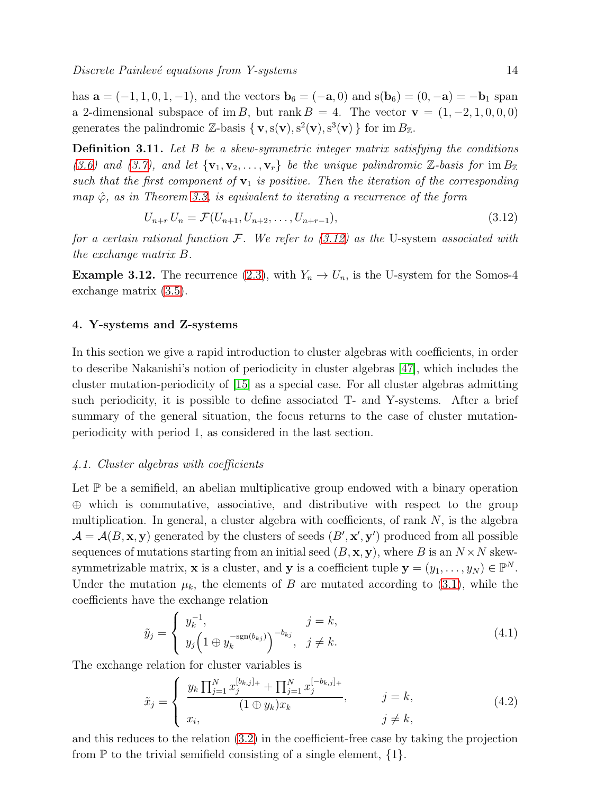has  $\mathbf{a} = (-1, 1, 0, 1, -1)$ , and the vectors  $\mathbf{b}_6 = (-\mathbf{a}, 0)$  and  $s(\mathbf{b}_6) = (0, -\mathbf{a}) = -\mathbf{b}_1$  span a 2-dimensional subspace of im B, but rank  $B = 4$ . The vector  $\mathbf{v} = (1, -2, 1, 0, 0, 0)$ generates the palindromic Z-basis  $\{v, s(v), s^2(v), s^3(v)\}\$ for im  $B_{\mathbb{Z}}$ .

**Definition 3.11.** Let  $B$  be a skew-symmetric integer matrix satisfying the conditions [\(3.6\)](#page-10-1) and [\(3.7\)](#page-10-2), and let  $\{v_1, v_2, \ldots, v_r\}$  be the unique palindromic  $\mathbb{Z}$ -basis for im  $B_{\mathbb{Z}}$ such that the first component of  $v_1$  is positive. Then the iteration of the corresponding map  $\hat{\varphi}$ , as in Theorem [3.3,](#page-11-2) is equivalent to iterating a recurrence of the form

$$
U_{n+r} U_n = \mathcal{F}(U_{n+1}, U_{n+2}, \dots, U_{n+r-1}),
$$
\n(3.12)

for a certain rational function  $\mathcal{F}$ . We refer to [\(3.12\)](#page-13-1) as the U-system associated with the exchange matrix B.

**Example 3.12.** The recurrence [\(2.3\)](#page-4-1), with  $Y_n \to U_n$ , is the U-system for the Somos-4 exchange matrix [\(3.5\)](#page-10-3).

#### 4. Y-systems and Z-systems

In this section we give a rapid introduction to cluster algebras with coefficients, in order to describe Nakanishi's notion of periodicity in cluster algebras [\[47\]](#page-25-21), which includes the cluster mutation-periodicity of [\[15\]](#page-25-13) as a special case. For all cluster algebras admitting such periodicity, it is possible to define associated T- and Y-systems. After a brief summary of the general situation, the focus returns to the case of cluster mutationperiodicity with period 1, as considered in the last section.

#### 4.1. Cluster algebras with coefficients

Let  $\mathbb P$  be a semifield, an abelian multiplicative group endowed with a binary operation ⊕ which is commutative, associative, and distributive with respect to the group multiplication. In general, a cluster algebra with coefficients, of rank  $N$ , is the algebra  $\mathcal{A} = \mathcal{A}(B, \mathbf{x}, \mathbf{y})$  generated by the clusters of seeds  $(B', \mathbf{x}', \mathbf{y}')$  produced from all possible sequences of mutations starting from an initial seed  $(B, \mathbf{x}, \mathbf{y})$ , where B is an  $N \times N$  skewsymmetrizable matrix, **x** is a cluster, and **y** is a coefficient tuple  $\mathbf{y} = (y_1, \dots, y_N) \in \mathbb{P}^N$ . Under the mutation  $\mu_k$ , the elements of B are mutated according to [\(3.1\)](#page-8-1), while the coefficients have the exchange relation

$$
\tilde{y}_j = \begin{cases} y_k^{-1}, & j = k, \\ y_j \left( 1 \oplus y_k^{-\text{sgn}(b_{kj})} \right)^{-b_{kj}}, & j \neq k. \end{cases}
$$
\n(4.1)

The exchange relation for cluster variables is

<span id="page-14-0"></span>
$$
\tilde{x}_j = \begin{cases}\n\frac{y_k \prod_{j=1}^N x_j^{[b_{k,j}]_+} + \prod_{j=1}^N x_j^{[-b_{k,j}]_+}}{(1 \oplus y_k)x_k}, & j = k, \\
x_i, & j \neq k,\n\end{cases}
$$
\n(4.2)

and this reduces to the relation [\(3.2\)](#page-9-0) in the coefficient-free case by taking the projection from  $\mathbb P$  to the trivial semifield consisting of a single element,  $\{1\}$ .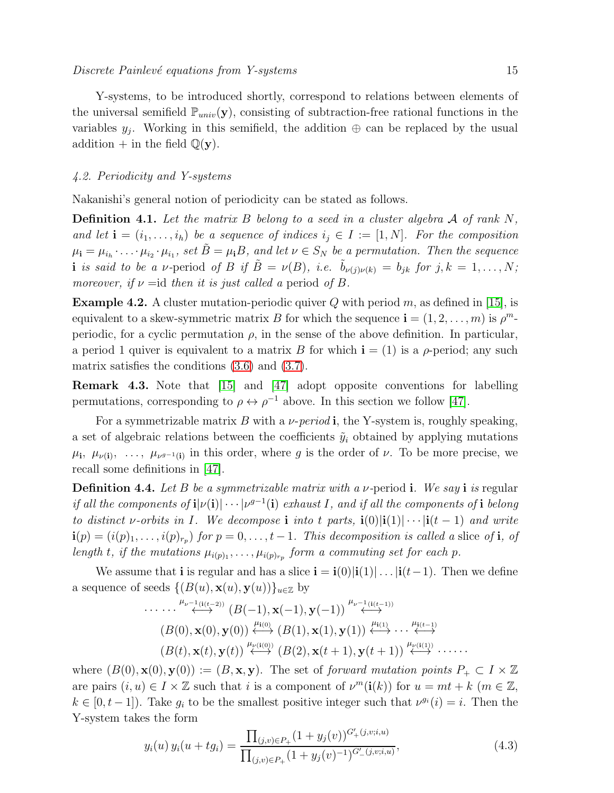Y-systems, to be introduced shortly, correspond to relations between elements of the universal semifield  $\mathbb{P}_{univ}(\mathbf{y})$ , consisting of subtraction-free rational functions in the variables  $y_j$ . Working in this semifield, the addition  $\oplus$  can be replaced by the usual addition + in the field  $\mathbb{Q}(\mathbf{y})$ .

#### 4.2. Periodicity and Y-systems

Nakanishi's general notion of periodicity can be stated as follows.

**Definition 4.1.** Let the matrix B belong to a seed in a cluster algebra  $\mathcal A$  of rank  $N$ , and let  $\mathbf{i} = (i_1, \ldots, i_h)$  be a sequence of indices  $i_j \in I := [1, N]$ . For the composition  $\mu_{\bf i}=\mu_{i_h}\cdot\ldots\cdot\mu_{i_2}\cdot\mu_{i_1}$ , set  $\tilde{B}=\mu_{\bf i}B$ , and let  $\nu\in S_N$  be a permutation. Then the sequence i is said to be a v-period of B if  $\tilde{B} = \nu(B)$ , i.e.  $\tilde{b}_{\nu(j)\nu(k)} = b_{jk}$  for  $j, k = 1, ..., N$ ; moreover, if  $\nu = id$  then it is just called a period of B.

<span id="page-15-2"></span><span id="page-15-0"></span>**Example 4.2.** A cluster mutation-periodic quiver Q with period m, as defined in [\[15\]](#page-25-13), is equivalent to a skew-symmetric matrix B for which the sequence  $\mathbf{i} = (1, 2, \dots, m)$  is  $\rho^m$ periodic, for a cyclic permutation  $\rho$ , in the sense of the above definition. In particular, a period 1 quiver is equivalent to a matrix B for which  $\mathbf{i} = (1)$  is a  $\rho$ -period; any such matrix satisfies the conditions [\(3.6\)](#page-10-1) and [\(3.7\)](#page-10-2).

Remark 4.3. Note that [\[15\]](#page-25-13) and [\[47\]](#page-25-21) adopt opposite conventions for labelling permutations, corresponding to  $\rho \leftrightarrow \rho^{-1}$  above. In this section we follow [\[47\]](#page-25-21).

<span id="page-15-1"></span>For a symmetrizable matrix B with a  $\nu$ -period **i**, the Y-system is, roughly speaking, a set of algebraic relations between the coefficients  $\tilde{y}_i$  obtained by applying mutations  $\mu_{i}, \mu_{\nu(i)}, \ldots, \mu_{\nu^{g-1}(i)}$  in this order, where g is the order of  $\nu$ . To be more precise, we recall some definitions in [\[47\]](#page-25-21).

**Definition 4.4.** Let B be a symmetrizable matrix with a  $\nu$ -period i. We say i is regular if all the components of  $\mathbf{i}|\nu(\mathbf{i})|\cdots|\nu^{g-1}(\mathbf{i})$  exhaust I, and if all the components of  $\mathbf{i}$  belong to distinct v-orbits in I. We decompose i into t parts,  $\mathbf{i}(0)|\mathbf{i}(1)|\cdots|\mathbf{i}(t-1)$  and write  $\mathbf{i}(p) = (i(p)_1, \ldots, i(p)_{r_p})$  for  $p = 0, \ldots, t-1$ . This decomposition is called a slice of **i**, of length t, if the mutations  $\mu_{i(p)_1}, \ldots, \mu_{i(p)_{r_p}}$  form a commuting set for each p.

We assume that **i** is regular and has a slice  $\mathbf{i} = \mathbf{i}(0)|\mathbf{i}(1)| \dots |\mathbf{i}(t-1)$ . Then we define a sequence of seeds  $\{(B(u), \mathbf{x}(u), \mathbf{y}(u))\}_{u \in \mathbb{Z}}$  by

$$
\cdots \cdots \stackrel{\mu_{\nu^{-1}(i(t-2))}}{\longleftrightarrow} (B(-1), \mathbf{x}(-1), \mathbf{y}(-1)) \stackrel{\mu_{\nu^{-1}(i(t-1))}}{\longleftrightarrow} (B(0), \mathbf{x}(0), \mathbf{y}(0)) \stackrel{\mu_{i(0)}}{\longleftrightarrow} (B(1), \mathbf{x}(1), \mathbf{y}(1)) \stackrel{\mu_{i(1)}}{\longleftrightarrow} \cdots \stackrel{\mu_{i(t-1)}}{\longleftrightarrow} (B(t), \mathbf{x}(t), \mathbf{y}(t)) \stackrel{\mu_{\nu(i(0))}}{\longleftrightarrow} (B(2), \mathbf{x}(t+1), \mathbf{y}(t+1)) \stackrel{\mu_{\nu(i(1))}}{\longleftrightarrow} \cdots
$$

where  $(B(0), \mathbf{x}(0), \mathbf{y}(0)) := (B, \mathbf{x}, \mathbf{y})$ . The set of forward mutation points  $P_+ \subset I \times \mathbb{Z}$ are pairs  $(i, u) \in I \times \mathbb{Z}$  such that i is a component of  $\nu^m(\mathbf{i}(k))$  for  $u = mt + k$   $(m \in \mathbb{Z},$  $k \in [0, t-1]$ ). Take  $g_i$  to be the smallest positive integer such that  $\nu^{g_i}(i) = i$ . Then the Y-system takes the form

$$
y_i(u) y_i(u + tg_i) = \frac{\prod_{(j,v) \in P_+} (1 + y_j(v))^{G'_+ (j,v;i,u)}}{\prod_{(j,v) \in P_+} (1 + y_j(v))^{-1})^{G'_- (j,v;i,u)}},
$$
\n(4.3)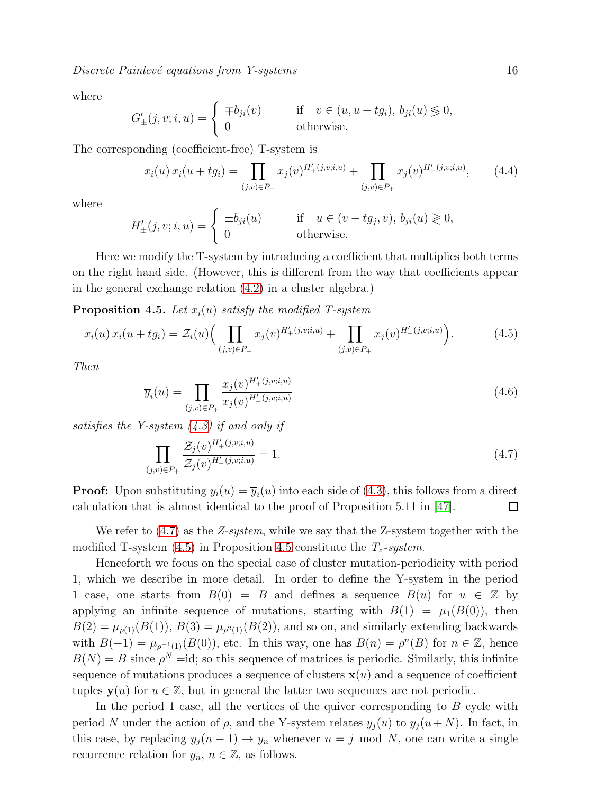Discrete Painlevé equations from Y-systems 16

where

$$
G'_{\pm}(j, v; i, u) = \begin{cases} \mp b_{ji}(v) & \text{if } v \in (u, u + tg_i), b_{ji}(u) \leq 0, \\ 0 & \text{otherwise.} \end{cases}
$$

The corresponding (coefficient-free) T-system is

<span id="page-16-1"></span>
$$
x_i(u) x_i(u + tg_i) = \prod_{(j,v) \in P_+} x_j(v)^{H'_+(j,v;i,u)} + \prod_{(j,v) \in P_+} x_j(v)^{H'_-(j,v;i,u)}, \qquad (4.4)
$$

where

$$
H'_{\pm}(j, v; i, u) = \begin{cases} \pm b_{ji}(u) & \text{if } u \in (v - tg_j, v), b_{ji}(u) \geq 0, \\ 0 & \text{otherwise.} \end{cases}
$$

Here we modify the T-system by introducing a coefficient that multiplies both terms on the right hand side. (However, this is different from the way that coefficients appear in the general exchange relation [\(4.2\)](#page-13-2) in a cluster algebra.)

**Proposition 4.5.** Let  $x_i(u)$  satisfy the modified T-system

<span id="page-16-0"></span>
$$
x_i(u) x_i(u + t g_i) = \mathcal{Z}_i(u) \Big( \prod_{(j,v) \in P_+} x_j(v)^{H'_+(j,v;i,u)} + \prod_{(j,v) \in P_+} x_j(v)^{H'_-(j,v;i,u)} \Big). \tag{4.5}
$$

Then

<span id="page-16-2"></span>
$$
\overline{y}_i(u) = \prod_{(j,v)\in P_+} \frac{x_j(v)^{H'_+(j,v;i,u)}}{x_j(v)^{H'_-(j,v;i,u)}}
$$
(4.6)

satisfies the Y-system  $(4.3)$  if and only if

$$
\prod_{(j,v)\in P_+} \frac{\mathcal{Z}_j(v)^{H'_+(j,v;i,u)}}{\mathcal{Z}_j(v)^{H'_-(j,v;i,u)}} = 1.
$$
\n(4.7)

**Proof:** Upon substituting  $y_i(u) = \overline{y}_i(u)$  into each side of [\(4.3\)](#page-14-0), this follows from a direct calculation that is almost identical to the proof of Proposition 5.11 in [\[47\]](#page-25-21).  $\Box$ 

We refer to  $(4.7)$  as the Z-system, while we say that the Z-system together with the modified T-system [\(4.5\)](#page-15-0) in Proposition [4.5](#page-15-2) constitute the  $T_z$ -system.

<span id="page-16-3"></span>Henceforth we focus on the special case of cluster mutation-periodicity with period 1, which we describe in more detail. In order to define the Y-system in the period 1 case, one starts from  $B(0) = B$  and defines a sequence  $B(u)$  for  $u \in \mathbb{Z}$  by applying an infinite sequence of mutations, starting with  $B(1) = \mu_1(B(0))$ , then  $B(2) = \mu_{\rho(1)}(B(1)), B(3) = \mu_{\rho^2(1)}(B(2)),$  and so on, and similarly extending backwards with  $B(-1) = \mu_{\rho^{-1}(1)}(B(0))$ , etc. In this way, one has  $B(n) = \rho^{n}(B)$  for  $n \in \mathbb{Z}$ , hence  $B(N) = B$  since  $\rho^N = id$ ; so this sequence of matrices is periodic. Similarly, this infinite sequence of mutations produces a sequence of clusters  $\mathbf{x}(u)$  and a sequence of coefficient tuples  $y(u)$  for  $u \in \mathbb{Z}$ , but in general the latter two sequences are not periodic.

<span id="page-16-5"></span><span id="page-16-4"></span>In the period 1 case, all the vertices of the quiver corresponding to B cycle with period N under the action of  $\rho$ , and the Y-system relates  $y_i(u)$  to  $y_i(u+N)$ . In fact, in this case, by replacing  $y_j(n-1) \to y_n$  whenever  $n = j \mod N$ , one can write a single recurrence relation for  $y_n$ ,  $n \in \mathbb{Z}$ , as follows.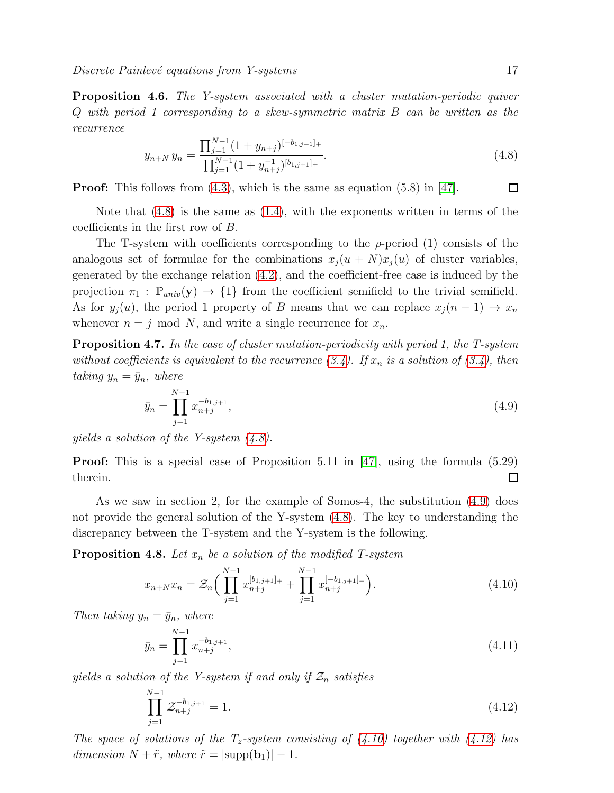recurrence

$$
y_{n+N} y_n = \frac{\prod_{j=1}^{N-1} (1 + y_{n+j})^{[-b_{1,j+1}]_+}}{\prod_{j=1}^{N-1} (1 + y_{n+j}^{-1})^{[b_{1,j+1}]_+}}.
$$
\n(4.8)

Proof: This follows from [\(4.3\)](#page-14-0), which is the same as equation (5.8) in [\[47\]](#page-25-21).

 $\Box$ 

Note that [\(4.8\)](#page-16-1) is the same as [\(1.4\)](#page-2-1), with the exponents written in terms of the coefficients in the first row of B.

The T-system with coefficients corresponding to the  $\rho$ -period (1) consists of the analogous set of formulae for the combinations  $x_i (u + N)x_i (u)$  of cluster variables, generated by the exchange relation [\(4.2\)](#page-13-2), and the coefficient-free case is induced by the projection  $\pi_1 : \mathbb{P}_{univ}(\mathbf{y}) \to \{1\}$  from the coefficient semifield to the trivial semifield. As for  $y_j(u)$ , the period 1 property of B means that we can replace  $x_j(n-1) \to x_n$ whenever  $n = j \mod N$ , and write a single recurrence for  $x_n$ .

**Proposition 4.7.** In the case of cluster mutation-periodicity with period 1, the T-system without coefficients is equivalent to the recurrence  $(3.4)$ . If  $x_n$  is a solution of  $(3.4)$ , then taking  $y_n = \bar{y}_n$ , where

$$
\bar{y}_n = \prod_{j=1}^{N-1} x_{n+j}^{-b_{1,j+1}},\tag{4.9}
$$

yields a solution of the Y-system [\(4.8\)](#page-16-1).

**Proof:** This is a special case of Proposition 5.11 in [\[47\]](#page-25-21), using the formula  $(5.29)$ therein.  $\Box$ 

As we saw in section 2, for the example of Somos-4, the substitution [\(4.9\)](#page-16-2) does not provide the general solution of the Y-system [\(4.8\)](#page-16-1). The key to understanding the discrepancy between the T-system and the Y-system is the following.

**Proposition 4.8.** Let  $x_n$  be a solution of the modified T-system

$$
x_{n+N}x_n = \mathcal{Z}_n \Big( \prod_{j=1}^{N-1} x_{n+j}^{[b_{1,j+1}]} + \prod_{j=1}^{N-1} x_{n+j}^{[-b_{1,j+1}]} \Big). \tag{4.10}
$$

Then taking  $y_n = \bar{y}_n$ , where

$$
\bar{y}_n = \prod_{j=1}^{N-1} x_{n+j}^{-b_{1,j+1}},\tag{4.11}
$$

yields a solution of the Y-system if and only if  $\mathcal{Z}_n$  satisfies

<span id="page-17-0"></span>
$$
\prod_{j=1}^{N-1} \mathcal{Z}_{n+j}^{-b_{1,j+1}} = 1.
$$
\n(4.12)

The space of solutions of the  $T_z$ -system consisting of [\(4.10\)](#page-16-3) together with [\(4.12\)](#page-16-4) has dimension  $N + \tilde{r}$ , where  $\tilde{r} = |\text{supp}(\mathbf{b}_1)| - 1$ .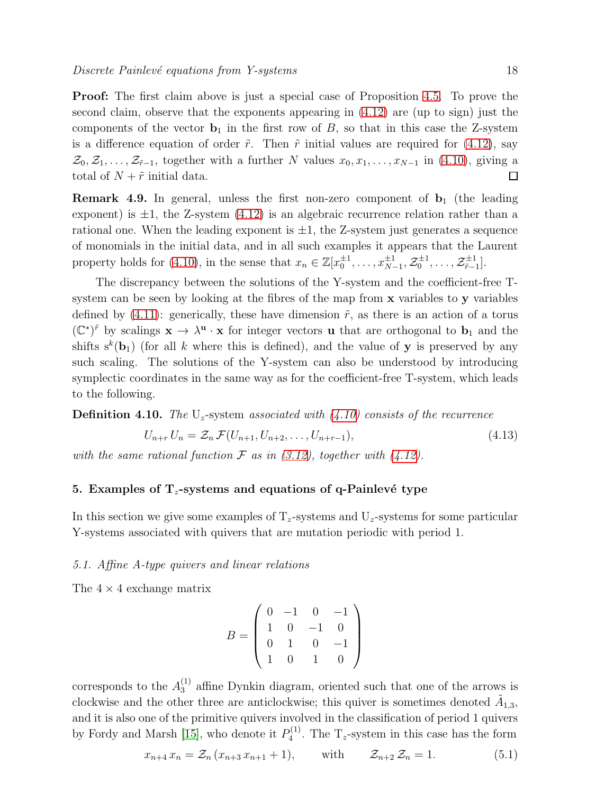Proof: The first claim above is just a special case of Proposition [4.5.](#page-15-2) To prove the second claim, observe that the exponents appearing in  $(4.12)$  are (up to sign) just the components of the vector  $\mathbf{b}_1$  in the first row of B, so that in this case the Z-system is a difference equation of order  $\tilde{r}$ . Then  $\tilde{r}$  initial values are required for [\(4.12\)](#page-16-4), say  $\mathcal{Z}_0, \mathcal{Z}_1, \ldots, \mathcal{Z}_{r-1}$ , together with a further N values  $x_0, x_1, \ldots, x_{N-1}$  in [\(4.10\)](#page-16-3), giving a total of  $N + \tilde{r}$  initial data.  $\Box$ 

<span id="page-18-0"></span>**Remark 4.9.** In general, unless the first non-zero component of  $b_1$  (the leading exponent) is  $\pm 1$ , the Z-system  $(4.12)$  is an algebraic recurrence relation rather than a rational one. When the leading exponent is  $\pm 1$ , the Z-system just generates a sequence of monomials in the initial data, and in all such examples it appears that the Laurent property holds for [\(4.10\)](#page-16-3), in the sense that  $x_n \in \mathbb{Z}[x_0^{\pm 1}, \ldots, x_{N-1}^{\pm 1}, \mathcal{Z}_0^{\pm 1}, \ldots, \mathcal{Z}_{\tilde{r}-1}^{\pm 1}]$  $_{\tilde{r}-1}^{\pm 1}$ .

<span id="page-18-1"></span>The discrepancy between the solutions of the Y-system and the coefficient-free Tsystem can be seen by looking at the fibres of the map from x variables to y variables defined by [\(4.11\)](#page-16-5): generically, these have dimension  $\tilde{r}$ , as there is an action of a torus  $(\mathbb{C}^*)^{\tilde{r}}$  by scalings  $\mathbf{x} \to \lambda^{\mathbf{u}} \cdot \mathbf{x}$  for integer vectors **u** that are orthogonal to  $\mathbf{b}_1$  and the shifts  $s^k(\mathbf{b}_1)$  (for all k where this is defined), and the value of **y** is preserved by any such scaling. The solutions of the Y-system can also be understood by introducing symplectic coordinates in the same way as for the coefficient-free T-system, which leads to the following.

**Definition 4.10.** The  $U_z$ -system associated with [\(4.10\)](#page-16-3) consists of the recurrence

<span id="page-18-2"></span>
$$
U_{n+r} U_n = \mathcal{Z}_n \mathcal{F}(U_{n+1}, U_{n+2}, \dots, U_{n+r-1}),
$$
\n(4.13)

with the same rational function  $\mathcal F$  as in [\(3.12\)](#page-13-1), together with [\(4.12\)](#page-16-4).

#### 5. Examples of  $T_z$ -systems and equations of q-Painlevé type

<span id="page-18-3"></span>In this section we give some examples of  $T_z$ -systems and  $U_z$ -systems for some particular Y-systems associated with quivers that are mutation periodic with period 1.

#### 5.1. Affine A-type quivers and linear relations

The  $4 \times 4$  exchange matrix

$$
B = \left(\begin{array}{rrrr} 0 & -1 & 0 & -1 \\ 1 & 0 & -1 & 0 \\ 0 & 1 & 0 & -1 \\ 1 & 0 & 1 & 0 \end{array}\right)
$$

corresponds to the  $A_3^{(1)}$  affine Dynkin diagram, oriented such that one of the arrows is clockwise and the other three are anticlockwise; this quiver is sometimes denoted  $\tilde{A}_{1,3}$ , and it is also one of the primitive quivers involved in the classification of period 1 quivers by Fordy and Marsh [\[15\]](#page-25-13), who denote it  $P_4^{(1)}$  $T_4^{(1)}$ . The T<sub>z</sub>-system in this case has the form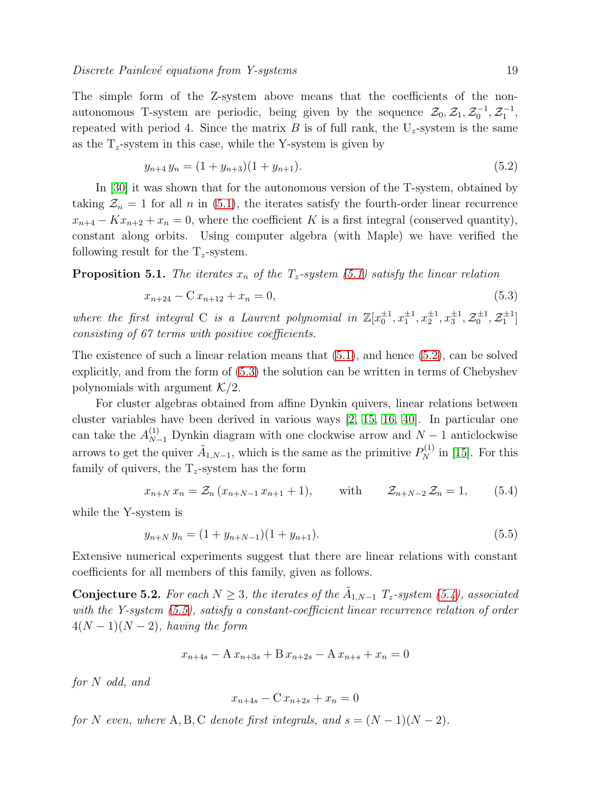The simple form of the Z-system above means that the coefficients of the nonautonomous T-system are periodic, being given by the sequence  $\mathcal{Z}_0, \mathcal{Z}_1, \mathcal{Z}_0^{-1}, \mathcal{Z}_1^{-1},$ repeated with period 4. Since the matrix B is of full rank, the  $U_z$ -system is the same as the  $T_z$ -system in this case, while the Y-system is given by

<span id="page-19-0"></span>
$$
y_{n+4} y_n = (1 + y_{n+3})(1 + y_{n+1}). \tag{5.2}
$$

In [\[30\]](#page-25-15) it was shown that for the autonomous version of the T-system, obtained by taking  $\mathcal{Z}_n = 1$  for all n in [\(5.1\)](#page-17-0), the iterates satisfy the fourth-order linear recurrence  $x_{n+4} - Kx_{n+2} + x_n = 0$ , where the coefficient K is a first integral (conserved quantity), constant along orbits. Using computer algebra (with Maple) we have verified the following result for the  $T_z$ -system.

**Proposition 5.1.** The iterates  $x_n$  of the  $T_z$ -system [\(5.1\)](#page-17-0) satisfy the linear relation

$$
x_{n+24} - C x_{n+12} + x_n = 0,\t\t(5.3)
$$

where the first integral C is a Laurent polynomial in  $\mathbb{Z}[x_0^{\pm 1}, x_1^{\pm 1}, x_2^{\pm 1}, x_3^{\pm 1}, \mathcal{Z}_0^{\pm 1}, \mathcal{Z}_1^{\pm 1}]$ consisting of 67 terms with positive coefficients.

The existence of such a linear relation means that [\(5.1\)](#page-17-0), and hence [\(5.2\)](#page-18-0), can be solved explicitly, and from the form of [\(5.3\)](#page-18-1) the solution can be written in terms of Chebyshev polynomials with argument  $\mathcal{K}/2$ .

For cluster algebras obtained from affine Dynkin quivers, linear relations between cluster variables have been derived in various ways [\[2,](#page-24-2) [15,](#page-25-13) [16,](#page-25-16) [40\]](#page-25-14). In particular one can take the  $A_{N-1}^{(1)}$  Dynkin diagram with one clockwise arrow and  $N-1$  anticlockwise arrows to get the quiver  $\tilde{A}_{1,N-1}$ , which is the same as the primitive  $P_N^{(1)}$  in [\[15\]](#page-25-13). For this family of quivers, the  $T_z$ -system has the form

<span id="page-19-1"></span>
$$
x_{n+N} x_n = \mathcal{Z}_n (x_{n+N-1} x_{n+1} + 1), \quad \text{with} \quad \mathcal{Z}_{n+N-2} \mathcal{Z}_n = 1, \quad (5.4)
$$

while the Y-system is

$$
y_{n+N} y_n = (1 + y_{n+N-1})(1 + y_{n+1}).
$$
\n(5.5)

Extensive numerical experiments suggest that there are linear relations with constant coefficients for all members of this family, given as follows.

**Conjecture 5.2.** For each  $N \geq 3$ , the iterates of the  $\tilde{A}_{1,N-1}$   $T_z$ -system [\(5.4\)](#page-18-2), associated with the Y-system  $(5.5)$ , satisfy a constant-coefficient linear recurrence relation of order  $4(N-1)(N-2)$ , having the form

$$
x_{n+4s} - A x_{n+3s} + B x_{n+2s} - A x_{n+s} + x_n = 0
$$

for N odd, and

$$
x_{n+4s} - C x_{n+2s} + x_n = 0
$$

for N even, where A, B, C denote first integrals, and  $s = (N-1)(N-2)$ .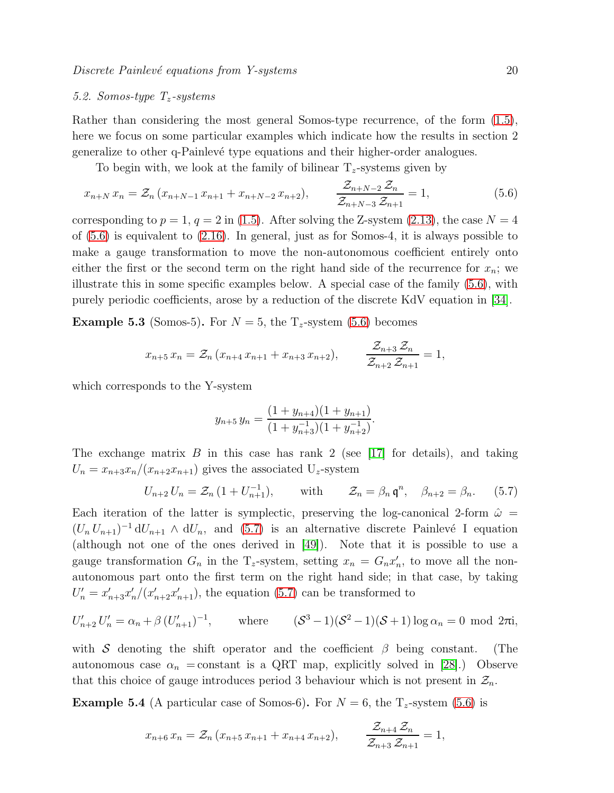#### 5.2. Somos-type  $T_z$ -systems

Rather than considering the most general Somos-type recurrence, of the form [\(1.5\)](#page-2-2), here we focus on some particular examples which indicate how the results in section 2 generalize to other q-Painlev´e type equations and their higher-order analogues.

To begin with, we look at the family of bilinear  $T_z$ -systems given by

$$
x_{n+N} x_n = \mathcal{Z}_n (x_{n+N-1} x_{n+1} + x_{n+N-2} x_{n+2}), \qquad \frac{\mathcal{Z}_{n+N-2} \mathcal{Z}_n}{\mathcal{Z}_{n+N-3} \mathcal{Z}_{n+1}} = 1, \tag{5.6}
$$

corresponding to  $p = 1$ ,  $q = 2$  in [\(1.5\)](#page-2-2). After solving the Z-system [\(2.13\)](#page-7-2), the case  $N = 4$ of [\(5.6\)](#page-19-0) is equivalent to [\(2.16\)](#page-8-0). In general, just as for Somos-4, it is always possible to make a gauge transformation to move the non-autonomous coefficient entirely onto either the first or the second term on the right hand side of the recurrence for  $x_n$ ; we illustrate this in some specific examples below. A special case of the family [\(5.6\)](#page-19-0), with purely periodic coefficients, arose by a reduction of the discrete KdV equation in [\[34\]](#page-25-10).

**Example 5.3** (Somos-5). For  $N = 5$ , the  $T_z$ -system [\(5.6\)](#page-19-0) becomes

$$
x_{n+5} x_n = \mathcal{Z}_n (x_{n+4} x_{n+1} + x_{n+3} x_{n+2}), \qquad \frac{\mathcal{Z}_{n+3} \mathcal{Z}_n}{\mathcal{Z}_{n+2} \mathcal{Z}_{n+1}} = 1,
$$

which corresponds to the Y-system

$$
y_{n+5} y_n = \frac{(1+y_{n+4})(1+y_{n+1})}{(1+y_{n+3})(1+y_{n+2}^{-1})}.
$$

The exchange matrix  $B$  in this case has rank 2 (see [\[17\]](#page-25-34) for details), and taking  $U_n = x_{n+3}x_n/(x_{n+2}x_{n+1})$  gives the associated  $U_z$ -system

<span id="page-20-1"></span><span id="page-20-0"></span>
$$
U_{n+2} U_n = \mathcal{Z}_n \left( 1 + U_{n+1}^{-1} \right), \qquad \text{with} \qquad \mathcal{Z}_n = \beta_n \, \mathfrak{q}^n, \quad \beta_{n+2} = \beta_n. \tag{5.7}
$$

Each iteration of the latter is symplectic, preserving the log-canonical 2-form  $\hat{\omega} =$  $(U_n U_{n+1})^{-1} dU_{n+1} \wedge dU_n$ , and [\(5.7\)](#page-19-1) is an alternative discrete Painlevé I equation (although not one of the ones derived in [\[49\]](#page-25-32)). Note that it is possible to use a gauge transformation  $G_n$  in the T<sub>z</sub>-system, setting  $x_n = G_n x'_n$ , to move all the nonautonomous part onto the first term on the right hand side; in that case, by taking  $U'_n = x'_{n+3}x'_n/(x'_{n+2}x'_{n+1}),$  the equation [\(5.7\)](#page-19-1) can be transformed to

$$
U'_{n+2} U'_{n} = \alpha_{n} + \beta \left( U'_{n+1} \right)^{-1}, \qquad \text{where} \qquad (\mathcal{S}^{3} - 1)(\mathcal{S}^{2} - 1)(\mathcal{S} + 1) \log \alpha_{n} = 0 \text{ mod } 2\pi \mathbf{i},
$$

with S denoting the shift operator and the coefficient  $\beta$  being constant. (The autonomous case  $\alpha_n$  = constant is a QRT map, explicitly solved in [\[28\]](#page-25-35).) Observe that this choice of gauge introduces period 3 behaviour which is not present in  $\mathcal{Z}_n$ .

**Example 5.4** (A particular case of Somos-6). For  $N = 6$ , the  $T_z$ -system [\(5.6\)](#page-19-0) is

$$
x_{n+6} x_n = \mathcal{Z}_n (x_{n+5} x_{n+1} + x_{n+4} x_{n+2}), \qquad \frac{\mathcal{Z}_{n+4} \mathcal{Z}_n}{\mathcal{Z}_{n+3} \mathcal{Z}_{n+1}} = 1,
$$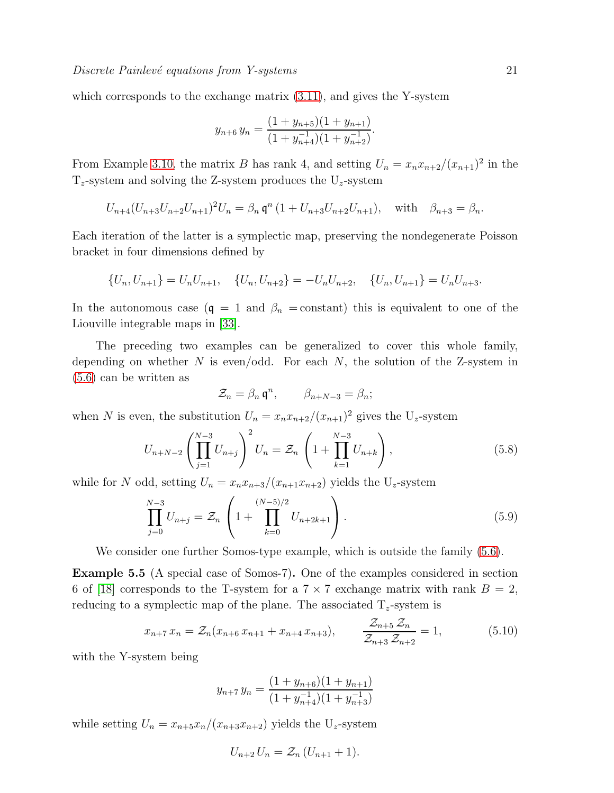which corresponds to the exchange matrix  $(3.11)$ , and gives the Y-system

$$
y_{n+6} y_n = \frac{(1+y_{n+5})(1+y_{n+1})}{(1+y_{n+4})(1+y_{n+2}^{-1})}.
$$

From Example [3.10,](#page-12-2) the matrix B has rank 4, and setting  $U_n = x_n x_{n+2}/(x_{n+1})^2$  in the  $T_z$ -system and solving the Z-system produces the  $U_z$ -system

<span id="page-21-0"></span>
$$
U_{n+4}(U_{n+3}U_{n+2}U_{n+1})^2U_n = \beta_n \mathfrak{q}^n (1 + U_{n+3}U_{n+2}U_{n+1}), \text{ with } \beta_{n+3} = \beta_n.
$$

Each iteration of the latter is a symplectic map, preserving the nondegenerate Poisson bracket in four dimensions defined by

$$
\{U_n, U_{n+1}\} = U_n U_{n+1}, \quad \{U_n, U_{n+2}\} = -U_n U_{n+2}, \quad \{U_n, U_{n+1}\} = U_n U_{n+3}.
$$

In the autonomous case  $(q = 1 \text{ and } \beta_n = \text{constant})$  this is equivalent to one of the Liouville integrable maps in [\[33\]](#page-25-36).

The preceding two examples can be generalized to cover this whole family, depending on whether N is even/odd. For each  $N$ , the solution of the Z-system in [\(5.6\)](#page-19-0) can be written as

$$
\mathcal{Z}_n = \beta_n \mathfrak{q}^n, \qquad \beta_{n+N-3} = \beta_n;
$$

when N is even, the substitution  $U_n = x_n x_{n+2} / (x_{n+1})^2$  gives the  $U_z$ -system

$$
U_{n+N-2} \left( \prod_{j=1}^{N-3} U_{n+j} \right)^2 U_n = \mathcal{Z}_n \left( 1 + \prod_{k=1}^{N-3} U_{n+k} \right), \tag{5.8}
$$

while for N odd, setting  $U_n = x_n x_{n+3}/(x_{n+1}x_{n+2})$  yields the  $U_z$ -system

$$
\prod_{j=0}^{N-3} U_{n+j} = \mathcal{Z}_n \left( 1 + \prod_{k=0}^{(N-5)/2} U_{n+2k+1} \right). \tag{5.9}
$$

We consider one further Somos-type example, which is outside the family  $(5.6)$ .

Example 5.5 (A special case of Somos-7). One of the examples considered in section 6 of [\[18\]](#page-25-17) corresponds to the T-system for a  $7 \times 7$  exchange matrix with rank  $B = 2$ , reducing to a symplectic map of the plane. The associated  $T_z$ -system is

<span id="page-21-2"></span><span id="page-21-1"></span>
$$
x_{n+7} x_n = \mathcal{Z}_n(x_{n+6} x_{n+1} + x_{n+4} x_{n+3}), \qquad \frac{\mathcal{Z}_{n+5} \mathcal{Z}_n}{\mathcal{Z}_{n+3} \mathcal{Z}_{n+2}} = 1, \tag{5.10}
$$

with the Y-system being

$$
y_{n+7} y_n = \frac{(1 + y_{n+6})(1 + y_{n+1})}{(1 + y_{n+4}^{-1})(1 + y_{n+3}^{-1})}
$$

<span id="page-21-3"></span>while setting  $U_n = x_{n+5}x_n/(x_{n+3}x_{n+2})$  yields the U<sub>z</sub>-system

$$
U_{n+2}U_n=\mathcal{Z}_n(U_{n+1}+1).
$$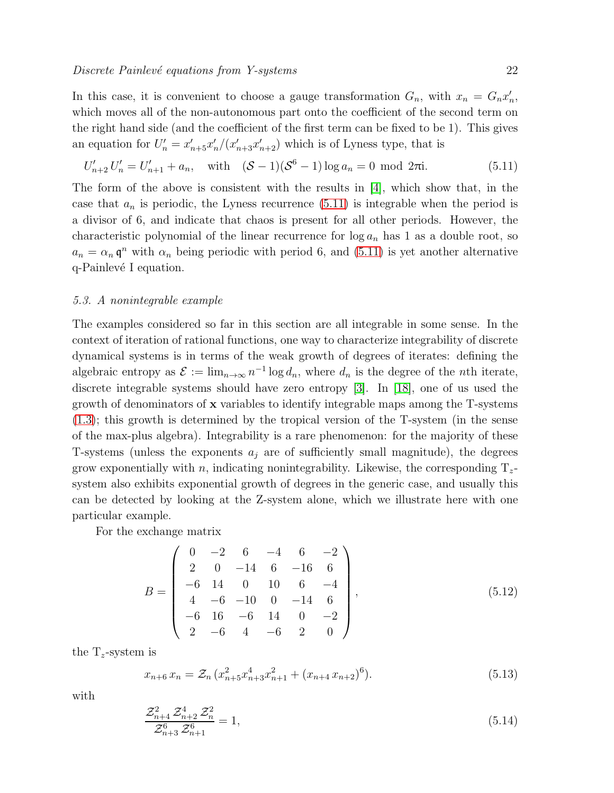In this case, it is convenient to choose a gauge transformation  $G_n$ , with  $x_n = G_n x'_n$ , which moves all of the non-autonomous part onto the coefficient of the second term on the right hand side (and the coefficient of the first term can be fixed to be 1). This gives an equation for  $U'_n = x'_{n+5}x'_n/(x'_{n+3}x'_{n+2})$  which is of Lyness type, that is

$$
U'_{n+2} U'_{n} = U'_{n+1} + a_n, \quad \text{with} \quad (\mathcal{S} - 1)(\mathcal{S}^6 - 1) \log a_n = 0 \text{ mod } 2\pi i. \tag{5.11}
$$

The form of the above is consistent with the results in [\[4\]](#page-24-9), which show that, in the case that  $a_n$  is periodic, the Lyness recurrence  $(5.11)$  is integrable when the period is a divisor of 6, and indicate that chaos is present for all other periods. However, the characteristic polynomial of the linear recurrence for  $\log a_n$  has 1 as a double root, so  $a_n = \alpha_n \mathfrak{q}^n$  with  $\alpha_n$  being periodic with period 6, and [\(5.11\)](#page-21-0) is yet another alternative q-Painlevé I equation.

#### 5.3. A nonintegrable example

<span id="page-22-0"></span>The examples considered so far in this section are all integrable in some sense. In the context of iteration of rational functions, one way to characterize integrability of discrete dynamical systems is in terms of the weak growth of degrees of iterates: defining the algebraic entropy as  $\mathcal{E} := \lim_{n \to \infty} n^{-1} \log d_n$ , where  $d_n$  is the degree of the *n*th iterate, discrete integrable systems should have zero entropy [\[3\]](#page-24-10). In [\[18\]](#page-25-17), one of us used the growth of denominators of x variables to identify integrable maps among the T-systems [\(1.3\)](#page-2-0); this growth is determined by the tropical version of the T-system (in the sense of the max-plus algebra). Integrability is a rare phenomenon: for the majority of these T-systems (unless the exponents  $a_i$  are of sufficiently small magnitude), the degrees grow exponentially with n, indicating nonintegrability. Likewise, the corresponding  $T_z$ system also exhibits exponential growth of degrees in the generic case, and usually this can be detected by looking at the Z-system alone, which we illustrate here with one particular example.

For the exchange matrix

$$
B = \begin{pmatrix} 0 & -2 & 6 & -4 & 6 & -2 \\ 2 & 0 & -14 & 6 & -16 & 6 \\ -6 & 14 & 0 & 10 & 6 & -4 \\ 4 & -6 & -10 & 0 & -14 & 6 \\ -6 & 16 & -6 & 14 & 0 & -2 \\ 2 & -6 & 4 & -6 & 2 & 0 \end{pmatrix},
$$
(5.12)

the  $T_z$ -system is

$$
x_{n+6} x_n = \mathcal{Z}_n \left( x_{n+5}^2 x_{n+3}^4 x_{n+1}^2 + (x_{n+4} x_{n+2})^6 \right). \tag{5.13}
$$

with

$$
\frac{\mathcal{Z}_{n+4}^2 \mathcal{Z}_{n+2}^4 \mathcal{Z}_n^2}{\mathcal{Z}_{n+3}^6 \mathcal{Z}_{n+1}^6} = 1,
$$
\n(5.14)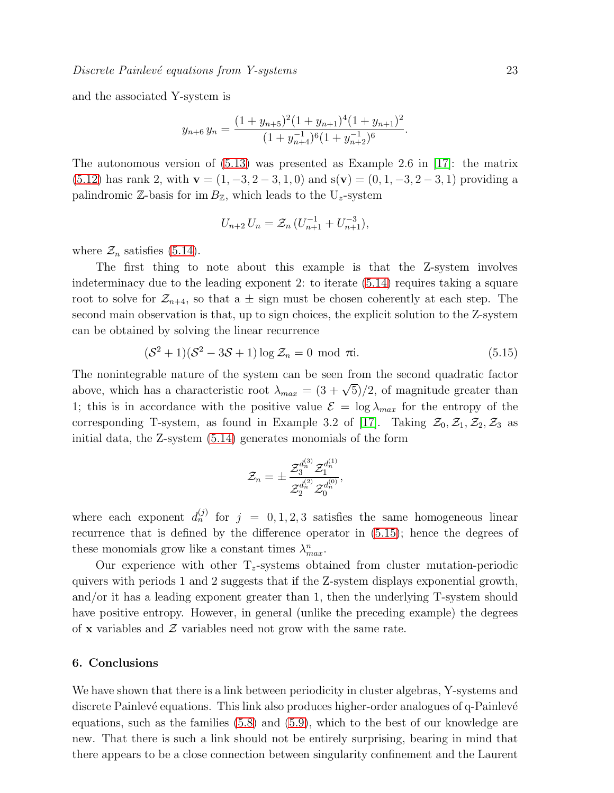and the associated Y-system is

$$
y_{n+6} y_n = \frac{(1 + y_{n+5})^2 (1 + y_{n+1})^4 (1 + y_{n+1})^2}{(1 + y_{n+4})^6 (1 + y_{n+2})^6}.
$$

The autonomous version of  $(5.13)$  was presented as Example 2.6 in [\[17\]](#page-25-34): the matrix [\(5.12\)](#page-21-2) has rank 2, with  $\mathbf{v} = (1, -3, 2, -3, 1, 0)$  and  $s(\mathbf{v}) = (0, 1, -3, 2, -3, 1)$  providing a palindromic  $\mathbb{Z}$ -basis for im  $B_{\mathbb{Z}}$ , which leads to the U<sub>z</sub>-system

$$
U_{n+2} U_n = \mathcal{Z}_n \left( U_{n+1}^{-1} + U_{n+1}^{-3} \right),
$$

where  $\mathcal{Z}_n$  satisfies [\(5.14\)](#page-21-3).

The first thing to note about this example is that the Z-system involves indeterminacy due to the leading exponent 2: to iterate [\(5.14\)](#page-21-3) requires taking a square root to solve for  $\mathcal{Z}_{n+4}$ , so that a  $\pm$  sign must be chosen coherently at each step. The second main observation is that, up to sign choices, the explicit solution to the Z-system can be obtained by solving the linear recurrence

$$
(\mathcal{S}^2 + 1)(\mathcal{S}^2 - 3\mathcal{S} + 1)\log \mathcal{Z}_n = 0 \text{ mod } \pi i. \tag{5.15}
$$

The nonintegrable nature of the system can be seen from the second quadratic factor above, which has a characteristic root  $\lambda_{max} = (3 + \sqrt{5})/2$ , of magnitude greater than 1; this is in accordance with the positive value  $\mathcal{E} = \log \lambda_{max}$  for the entropy of the corresponding T-system, as found in Example 3.2 of [\[17\]](#page-25-34). Taking  $\mathcal{Z}_0, \mathcal{Z}_1, \mathcal{Z}_2, \mathcal{Z}_3$  as initial data, the Z-system [\(5.14\)](#page-21-3) generates monomials of the form

$$
\mathcal{Z}_n = \pm \frac{\mathcal{Z}_3^{d^{(3)}_n} \mathcal{Z}_1^{d^{(1)}_n}}{\mathcal{Z}_2^{d^{(2)}_n} \mathcal{Z}_0^{d^{(0)}_n}},
$$

where each exponent  $d_n^{(j)}$  for  $j = 0, 1, 2, 3$  satisfies the same homogeneous linear recurrence that is defined by the difference operator in [\(5.15\)](#page-22-0); hence the degrees of these monomials grow like a constant times  $\lambda_{max}^n$ .

Our experience with other  $T_z$ -systems obtained from cluster mutation-periodic quivers with periods 1 and 2 suggests that if the Z-system displays exponential growth, and/or it has a leading exponent greater than 1, then the underlying T-system should have positive entropy. However, in general (unlike the preceding example) the degrees of **x** variables and  $\mathcal{Z}$  variables need not grow with the same rate.

#### 6. Conclusions

We have shown that there is a link between periodicity in cluster algebras, Y-systems and discrete Painlevé equations. This link also produces higher-order analogues of q-Painlevé equations, such as the families [\(5.8\)](#page-20-0) and [\(5.9\)](#page-20-1), which to the best of our knowledge are new. That there is such a link should not be entirely surprising, bearing in mind that there appears to be a close connection between singularity confinement and the Laurent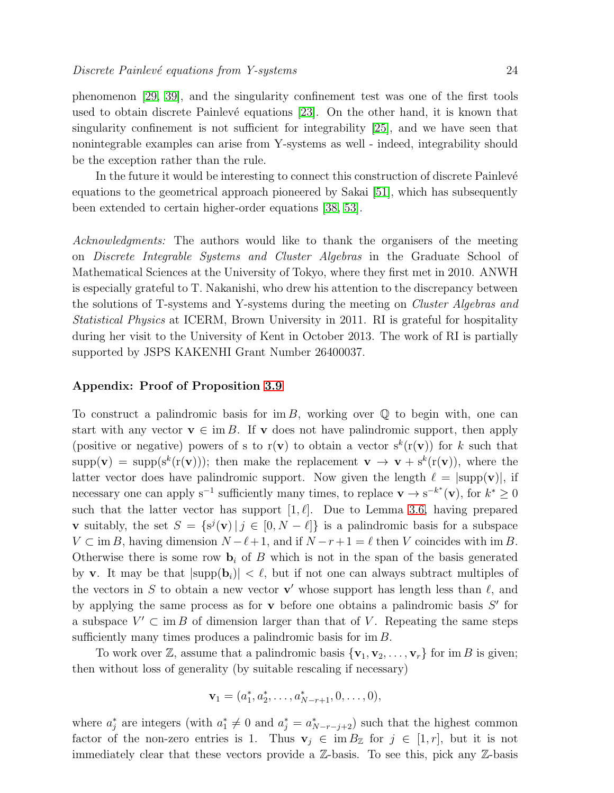phenomenon [\[29,](#page-25-37) [39\]](#page-25-38), and the singularity confinement test was one of the first tools used to obtain discrete Painlevé equations [\[23\]](#page-25-39). On the other hand, it is known that singularity confinement is not sufficient for integrability [\[25\]](#page-25-40), and we have seen that nonintegrable examples can arise from Y-systems as well - indeed, integrability should be the exception rather than the rule.

In the future it would be interesting to connect this construction of discrete Painlevé equations to the geometrical approach pioneered by Sakai [\[51\]](#page-25-41), which has subsequently been extended to certain higher-order equations [\[38,](#page-25-42) [53\]](#page-25-43).

Acknowledgments: The authors would like to thank the organisers of the meeting on Discrete Integrable Systems and Cluster Algebras in the Graduate School of Mathematical Sciences at the University of Tokyo, where they first met in 2010. ANWH is especially grateful to T. Nakanishi, who drew his attention to the discrepancy between the solutions of T-systems and Y-systems during the meeting on Cluster Algebras and Statistical Physics at ICERM, Brown University in 2011. RI is grateful for hospitality during her visit to the University of Kent in October 2013. The work of RI is partially supported by JSPS KAKENHI Grant Number 26400037.

#### Appendix: Proof of Proposition [3.9](#page-12-0)

To construct a palindromic basis for im B, working over  $\mathbb Q$  to begin with, one can start with any vector  $\mathbf{v} \in \text{im } B$ . If v does not have palindromic support, then apply (positive or negative) powers of s to  $r(\mathbf{v})$  to obtain a vector  $s^k(r(\mathbf{v}))$  for k such that  $supp(\mathbf{v}) = supp(s^k(r(\mathbf{v})))$ ; then make the replacement  $\mathbf{v} \to \mathbf{v} + s^k(r(\mathbf{v}))$ , where the latter vector does have palindromic support. Now given the length  $\ell = |supp(\mathbf{v})|$ , if necessary one can apply s<sup>-1</sup> sufficiently many times, to replace  $\mathbf{v} \to s^{-k^*}(\mathbf{v})$ , for  $k^* \geq 0$ such that the latter vector has support  $[1, \ell]$ . Due to Lemma [3.6,](#page-12-3) having prepared **v** suitably, the set  $S = \{s^{j}(\mathbf{v}) | j \in [0, N - \ell] \}$  is a palindromic basis for a subspace  $V \subset \text{im } B$ , having dimension  $N - \ell + 1$ , and if  $N - r + 1 = \ell$  then V coincides with im B. Otherwise there is some row  $\mathbf{b}_i$  of B which is not in the span of the basis generated by v. It may be that  $|\text{supp}(\mathbf{b}_i)| < \ell$ , but if not one can always subtract multiples of the vectors in S to obtain a new vector  $\mathbf{v}'$  whose support has length less than  $\ell$ , and by applying the same process as for  $\bf{v}$  before one obtains a palindromic basis  $S'$  for a subspace  $V' \subset \text{im } B$  of dimension larger than that of V. Repeating the same steps sufficiently many times produces a palindromic basis for  $\text{im } B$ .

<span id="page-24-10"></span><span id="page-24-9"></span><span id="page-24-4"></span><span id="page-24-3"></span><span id="page-24-2"></span><span id="page-24-0"></span>To work over  $\mathbb{Z}$ , assume that a palindromic basis  $\{v_1, v_2, \ldots, v_r\}$  for im B is given; then without loss of generality (by suitable rescaling if necessary)

$$
\mathbf{v}_1 = (a_1^*, a_2^*, \dots, a_{N-r+1}^*, 0, \dots, 0),
$$

<span id="page-24-8"></span><span id="page-24-7"></span><span id="page-24-6"></span><span id="page-24-5"></span><span id="page-24-1"></span>where  $a_j^*$  are integers (with  $a_1^* \neq 0$  and  $a_j^* = a_{N-r-j+2}^*$ ) such that the highest common factor of the non-zero entries is 1. Thus  $\mathbf{v}_j \in \text{im } B_{\mathbb{Z}}$  for  $j \in [1, r]$ , but it is not immediately clear that these vectors provide a  $\mathbb{Z}$ -basis. To see this, pick any  $\mathbb{Z}$ -basis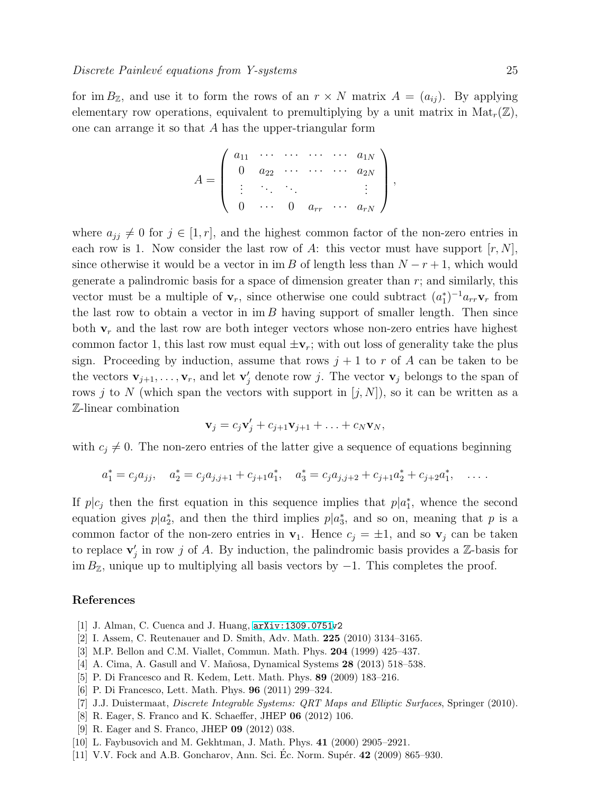<span id="page-25-34"></span><span id="page-25-31"></span><span id="page-25-17"></span><span id="page-25-16"></span><span id="page-25-13"></span><span id="page-25-2"></span><span id="page-25-0"></span>for im  $B_{\mathbb{Z}}$ , and use it to form the rows of an  $r \times N$  matrix  $A = (a_{ij})$ . By applying elementary row operations, equivalent to premultiplying by a unit matrix in  $Mat_r(\mathbb{Z})$ , one can arrange it so that A has the upper-triangular form

$$
A = \left( \begin{array}{cccc} a_{11} & \cdots & \cdots & \cdots & a_{1N} \\ 0 & a_{22} & \cdots & \cdots & a_{2N} \\ \vdots & \ddots & \ddots & & \vdots \\ 0 & \cdots & 0 & a_{rr} & \cdots & a_{rN} \end{array} \right),
$$

<span id="page-25-40"></span><span id="page-25-39"></span><span id="page-25-37"></span><span id="page-25-35"></span><span id="page-25-28"></span><span id="page-25-23"></span><span id="page-25-22"></span><span id="page-25-18"></span><span id="page-25-15"></span><span id="page-25-8"></span><span id="page-25-7"></span><span id="page-25-1"></span>where  $a_{jj} \neq 0$  for  $j \in [1, r]$ , and the highest common factor of the non-zero entries in each row is 1. Now consider the last row of A: this vector must have support  $[r, N]$ , since otherwise it would be a vector in im B of length less than  $N - r + 1$ , which would generate a palindromic basis for a space of dimension greater than  $r$ ; and similarly, this vector must be a multiple of  $\mathbf{v}_r$ , since otherwise one could subtract  $(a_1^*)^{-1} a_{rr} \mathbf{v}_r$  from the last row to obtain a vector in  $\text{im } B$  having support of smaller length. Then since both  $\mathbf{v}_r$  and the last row are both integer vectors whose non-zero entries have highest common factor 1, this last row must equal  $\pm v_r$ ; with out loss of generality take the plus sign. Proceeding by induction, assume that rows  $j+1$  to r of A can be taken to be the vectors  $\mathbf{v}_{j+1}, \ldots, \mathbf{v}_r$ , and let  $\mathbf{v}'_j$  denote row j. The vector  $\mathbf{v}_j$  belongs to the span of rows j to N (which span the vectors with support in  $[j, N]$ ), so it can be written as a Z-linear combination

$$
\mathbf{v}_j = c_j \mathbf{v}'_j + c_{j+1} \mathbf{v}_{j+1} + \ldots + c_N \mathbf{v}_N,
$$

<span id="page-25-42"></span><span id="page-25-36"></span><span id="page-25-33"></span><span id="page-25-20"></span><span id="page-25-19"></span><span id="page-25-12"></span><span id="page-25-10"></span><span id="page-25-9"></span>with  $c_i \neq 0$ . The non-zero entries of the latter give a sequence of equations beginning

$$
a_1^* = c_j a_{jj}, \quad a_2^* = c_j a_{j,j+1} + c_{j+1} a_1^*, \quad a_3^* = c_j a_{j,j+2} + c_{j+1} a_2^* + c_{j+2} a_1^*, \quad \dots
$$

<span id="page-25-38"></span><span id="page-25-29"></span><span id="page-25-14"></span><span id="page-25-5"></span><span id="page-25-4"></span>If  $p|c_j$  then the first equation in this sequence implies that  $p|a_1^*$ , whence the second equation gives  $p|a_2^*$ , and then the third implies  $p|a_3^*$ , and so on, meaning that p is a common factor of the non-zero entries in  $v_1$ . Hence  $c_j = \pm 1$ , and so  $v_j$  can be taken to replace  $\mathbf{v}'_j$  in row j of A. By induction, the palindromic basis provides a  $\mathbb{Z}$ -basis for im  $B_{\mathbb{Z}}$ , unique up to multiplying all basis vectors by  $-1$ . This completes the proof.

#### <span id="page-25-27"></span><span id="page-25-26"></span><span id="page-25-21"></span><span id="page-25-3"></span>References

- <span id="page-25-24"></span>[1] J. Alman, C. Cuenca and J. Huang, [arXiv:1309.0751v](http://arxiv.org/abs/1309.0751)2
- <span id="page-25-32"></span>[2] I. Assem, C. Reutenauer and D. Smith, Adv. Math. 225 (2010) 3134–3165.
- <span id="page-25-30"></span>[3] M.P. Bellon and C.M. Viallet, Commun. Math. Phys. 204 (1999) 425–437.
- [4] A. Cima, A. Gasull and V. Mañosa, Dynamical Systems 28 (2013) 518–538.
- <span id="page-25-41"></span>[5] P. Di Francesco and R. Kedem, Lett. Math. Phys. 89 (2009) 183–216.
- <span id="page-25-6"></span>[6] P. Di Francesco, Lett. Math. Phys. 96 (2011) 299–324.
- <span id="page-25-43"></span>[7] J.J. Duistermaat, Discrete Integrable Systems: QRT Maps and Elliptic Surfaces, Springer (2010).
- <span id="page-25-25"></span>[8] R. Eager, S. Franco and K. Schaeffer, JHEP 06 (2012) 106.
- <span id="page-25-11"></span>[9] R. Eager and S. Franco, JHEP 09 (2012) 038.
- [10] L. Faybusovich and M. Gekhtman, J. Math. Phys. 41 (2000) 2905–2921.
- [11] V.V. Fock and A.B. Goncharov, Ann. Sci. Ec. Norm. Supér. **42** (2009) 865–930.